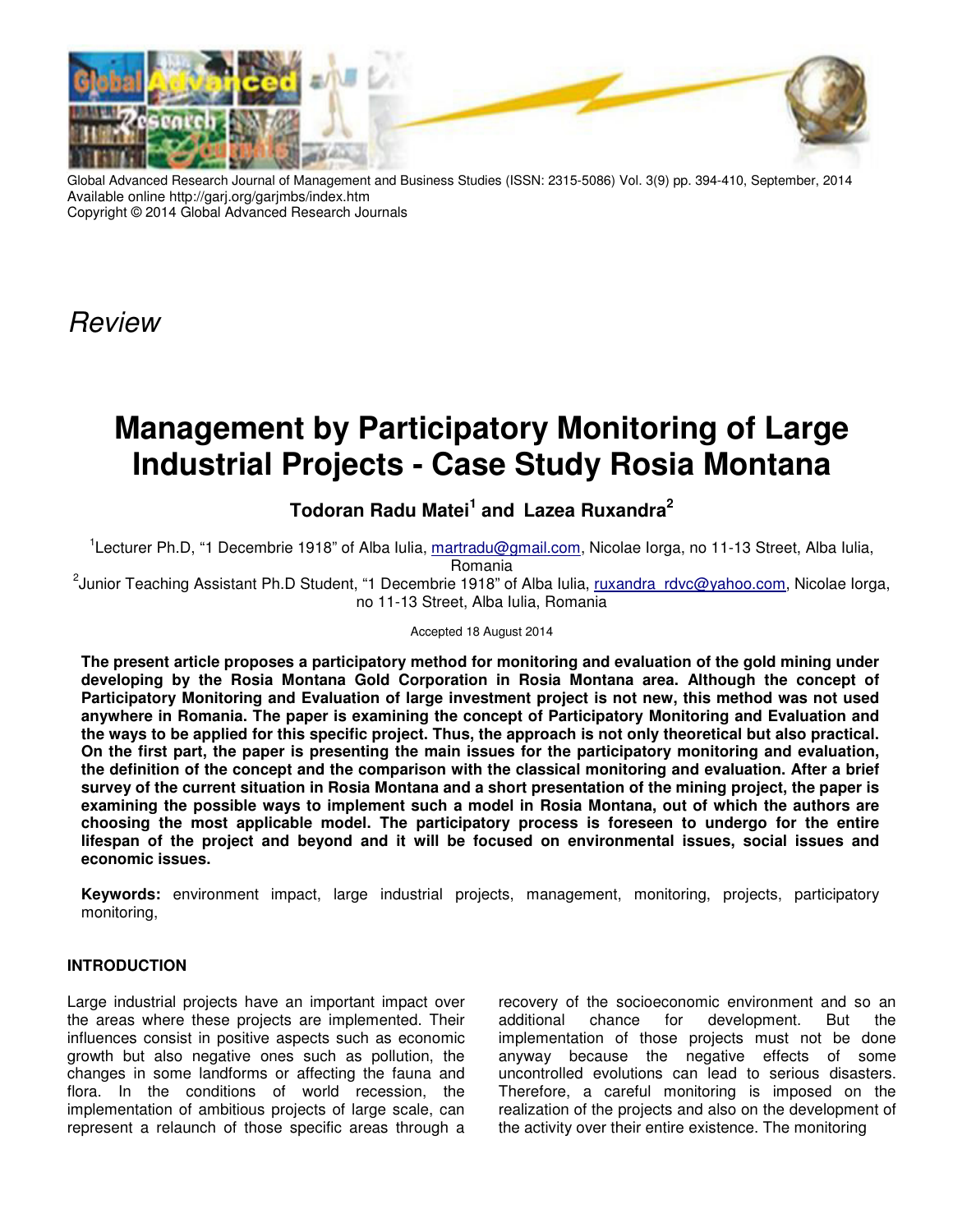

Global Advanced Research Journal of Management and Business Studies (ISSN: 2315-5086) Vol. 3(9) pp. 394-410, September, 2014 Available online http://garj.org/garjmbs/index.htm Copyright © 2014 Global Advanced Research Journals

Review

# **Management by Participatory Monitoring of Large Industrial Projects - Case Study Rosia Montana**

## **Todoran Radu Matei<sup>1</sup> and Lazea Ruxandra<sup>2</sup>**

<sup>1</sup>Lecturer Ph.D, "1 Decembrie 1918" of Alba Iulia, martradu@gmail.com, Nicolae Iorga, no 11-13 Street, Alba Iulia, Romania

<sup>2</sup>Junior Teaching Assistant Ph.D Student, "1 Decembrie 1918" of Alba Iulia, <u>ruxandra\_rdvc@yahoo.com</u>, Nicolae Iorga, no 11-13 Street, Alba Iulia, Romania

Accepted 18 August 2014

**The present article proposes a participatory method for monitoring and evaluation of the gold mining under developing by the Rosia Montana Gold Corporation in Rosia Montana area. Although the concept of Participatory Monitoring and Evaluation of large investment project is not new, this method was not used anywhere in Romania. The paper is examining the concept of Participatory Monitoring and Evaluation and the ways to be applied for this specific project. Thus, the approach is not only theoretical but also practical. On the first part, the paper is presenting the main issues for the participatory monitoring and evaluation, the definition of the concept and the comparison with the classical monitoring and evaluation. After a brief survey of the current situation in Rosia Montana and a short presentation of the mining project, the paper is examining the possible ways to implement such a model in Rosia Montana, out of which the authors are choosing the most applicable model. The participatory process is foreseen to undergo for the entire lifespan of the project and beyond and it will be focused on environmental issues, social issues and economic issues.** 

**Keywords:** environment impact, large industrial projects, management, monitoring, projects, participatory monitoring,

#### **INTRODUCTION**

Large industrial projects have an important impact over the areas where these projects are implemented. Their influences consist in positive aspects such as economic growth but also negative ones such as pollution, the changes in some landforms or affecting the fauna and flora. In the conditions of world recession, the implementation of ambitious projects of large scale, can represent a relaunch of those specific areas through a

recovery of the socioeconomic environment and so an additional chance for development. But the implementation of those projects must not be done anyway because the negative effects of some uncontrolled evolutions can lead to serious disasters. Therefore, a careful monitoring is imposed on the realization of the projects and also on the development of the activity over their entire existence. The monitoring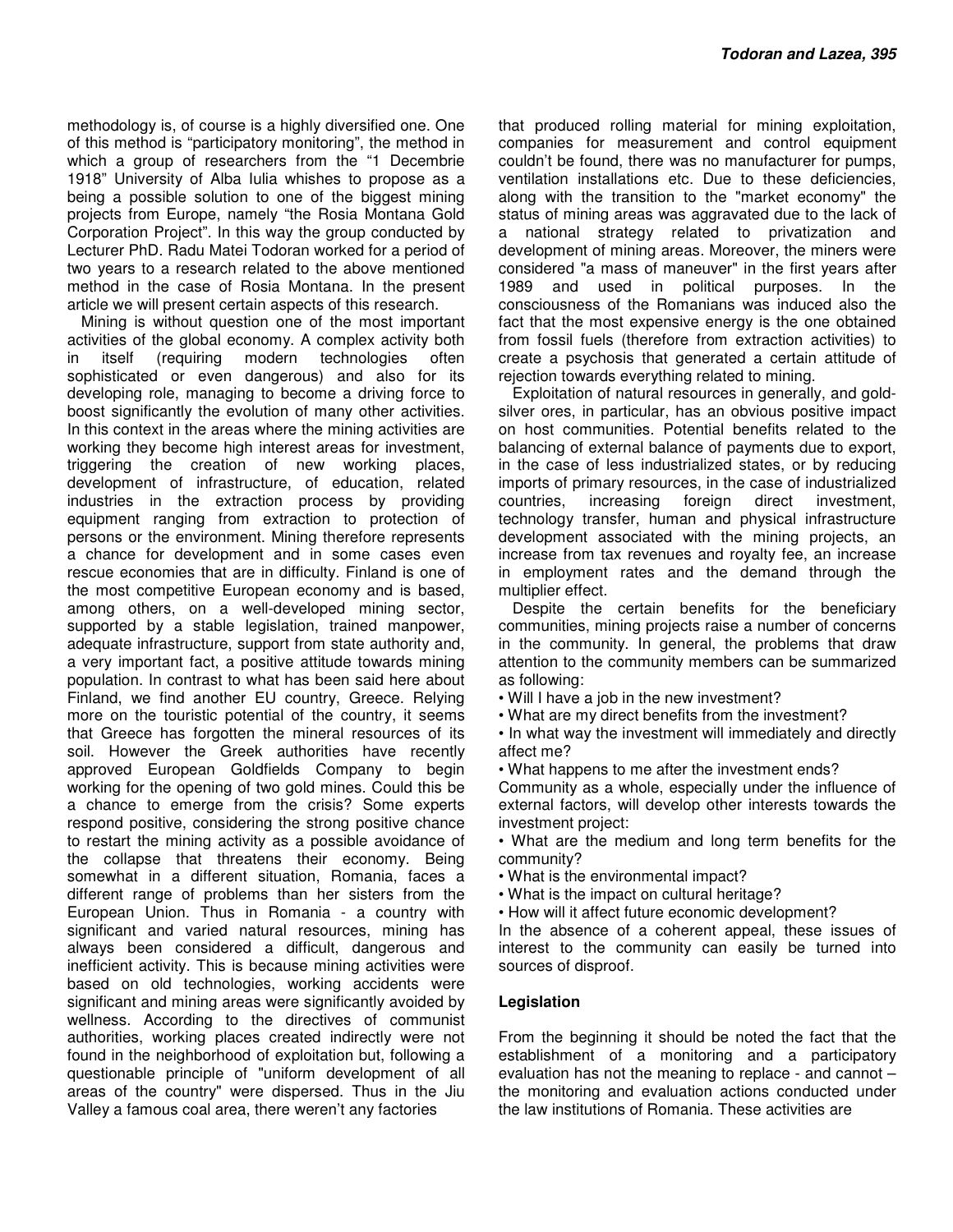methodology is, of course is a highly diversified one. One of this method is "participatory monitoring", the method in which a group of researchers from the "1 Decembrie 1918" University of Alba Iulia whishes to propose as a being a possible solution to one of the biggest mining projects from Europe, namely "the Rosia Montana Gold Corporation Project". In this way the group conducted by Lecturer PhD. Radu Matei Todoran worked for a period of two years to a research related to the above mentioned method in the case of Rosia Montana. In the present article we will present certain aspects of this research.

Mining is without question one of the most important activities of the global economy. A complex activity both in itself (requiring modern technologies often sophisticated or even dangerous) and also for its developing role, managing to become a driving force to boost significantly the evolution of many other activities. In this context in the areas where the mining activities are working they become high interest areas for investment. triggering the creation of new working places, development of infrastructure, of education, related industries in the extraction process by providing equipment ranging from extraction to protection of persons or the environment. Mining therefore represents a chance for development and in some cases even rescue economies that are in difficulty. Finland is one of the most competitive European economy and is based, among others, on a well-developed mining sector, supported by a stable legislation, trained manpower, adequate infrastructure, support from state authority and, a very important fact, a positive attitude towards mining population. In contrast to what has been said here about Finland, we find another EU country, Greece. Relying more on the touristic potential of the country, it seems that Greece has forgotten the mineral resources of its soil. However the Greek authorities have recently approved European Goldfields Company to begin working for the opening of two gold mines. Could this be a chance to emerge from the crisis? Some experts respond positive, considering the strong positive chance to restart the mining activity as a possible avoidance of the collapse that threatens their economy. Being somewhat in a different situation, Romania, faces a different range of problems than her sisters from the European Union. Thus in Romania - a country with significant and varied natural resources, mining has always been considered a difficult, dangerous and inefficient activity. This is because mining activities were based on old technologies, working accidents were significant and mining areas were significantly avoided by wellness. According to the directives of communist authorities, working places created indirectly were not found in the neighborhood of exploitation but, following a questionable principle of "uniform development of all areas of the country" were dispersed. Thus in the Jiu Valley a famous coal area, there weren't any factories

that produced rolling material for mining exploitation, companies for measurement and control equipment couldn't be found, there was no manufacturer for pumps, ventilation installations etc. Due to these deficiencies, along with the transition to the "market economy" the status of mining areas was aggravated due to the lack of a national strategy related to privatization and development of mining areas. Moreover, the miners were considered "a mass of maneuver" in the first years after 1989 and used in political purposes. In the consciousness of the Romanians was induced also the fact that the most expensive energy is the one obtained from fossil fuels (therefore from extraction activities) to create a psychosis that generated a certain attitude of rejection towards everything related to mining.

Exploitation of natural resources in generally, and goldsilver ores, in particular, has an obvious positive impact on host communities. Potential benefits related to the balancing of external balance of payments due to export, in the case of less industrialized states, or by reducing imports of primary resources, in the case of industrialized countries, increasing foreign direct investment, technology transfer, human and physical infrastructure development associated with the mining projects, an increase from tax revenues and royalty fee, an increase in employment rates and the demand through the multiplier effect.

Despite the certain benefits for the beneficiary communities, mining projects raise a number of concerns in the community. In general, the problems that draw attention to the community members can be summarized as following:

• Will I have a job in the new investment?

• What are my direct benefits from the investment?

• In what way the investment will immediately and directly affect me?

• What happens to me after the investment ends?

Community as a whole, especially under the influence of external factors, will develop other interests towards the investment project:

• What are the medium and long term benefits for the community?

• What is the environmental impact?

• What is the impact on cultural heritage?

• How will it affect future economic development?

In the absence of a coherent appeal, these issues of interest to the community can easily be turned into sources of disproof.

#### **Legislation**

From the beginning it should be noted the fact that the establishment of a monitoring and a participatory evaluation has not the meaning to replace - and cannot – the monitoring and evaluation actions conducted under the law institutions of Romania. These activities are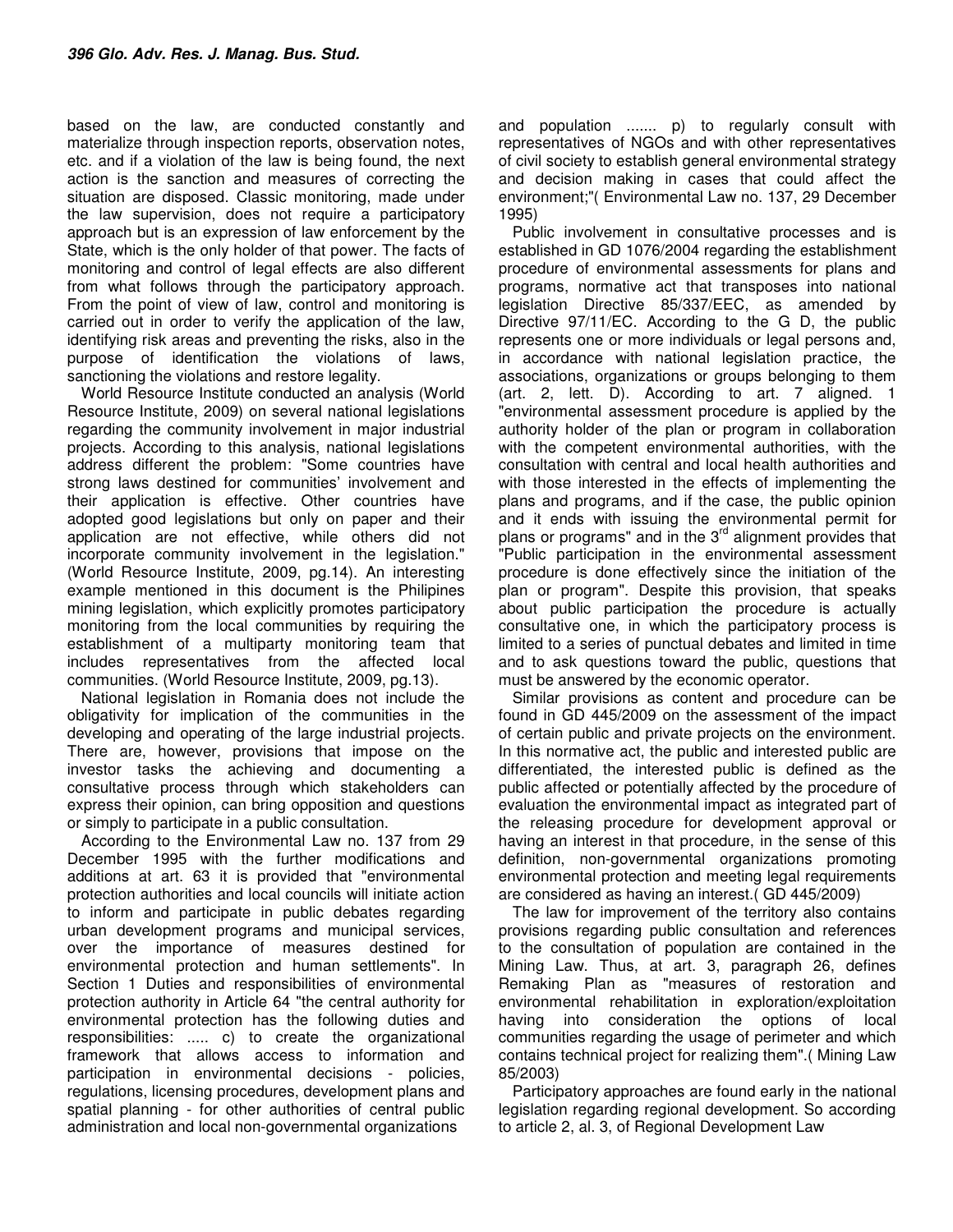based on the law, are conducted constantly and materialize through inspection reports, observation notes, etc. and if a violation of the law is being found, the next action is the sanction and measures of correcting the situation are disposed. Classic monitoring, made under the law supervision, does not require a participatory approach but is an expression of law enforcement by the State, which is the only holder of that power. The facts of monitoring and control of legal effects are also different from what follows through the participatory approach. From the point of view of law, control and monitoring is carried out in order to verify the application of the law, identifying risk areas and preventing the risks, also in the purpose of identification the violations of laws, sanctioning the violations and restore legality.

World Resource Institute conducted an analysis (World Resource Institute, 2009) on several national legislations regarding the community involvement in major industrial projects. According to this analysis, national legislations address different the problem: "Some countries have strong laws destined for communities' involvement and their application is effective. Other countries have adopted good legislations but only on paper and their application are not effective, while others did not incorporate community involvement in the legislation." (World Resource Institute, 2009, pg.14). An interesting example mentioned in this document is the Philipines mining legislation, which explicitly promotes participatory monitoring from the local communities by requiring the establishment of a multiparty monitoring team that includes representatives from the affected local communities. (World Resource Institute, 2009, pg.13).

National legislation in Romania does not include the obligativity for implication of the communities in the developing and operating of the large industrial projects. There are, however, provisions that impose on the investor tasks the achieving and documenting a consultative process through which stakeholders can express their opinion, can bring opposition and questions or simply to participate in a public consultation.

According to the Environmental Law no. 137 from 29 December 1995 with the further modifications and additions at art. 63 it is provided that "environmental protection authorities and local councils will initiate action to inform and participate in public debates regarding urban development programs and municipal services, over the importance of measures destined for environmental protection and human settlements". In Section 1 Duties and responsibilities of environmental protection authority in Article 64 "the central authority for environmental protection has the following duties and responsibilities: ..... c) to create the organizational framework that allows access to information and participation in environmental decisions - policies, regulations, licensing procedures, development plans and spatial planning - for other authorities of central public administration and local non-governmental organizations

and population ....... p) to regularly consult with representatives of NGOs and with other representatives of civil society to establish general environmental strategy and decision making in cases that could affect the environment;"( Environmental Law no. 137, 29 December 1995)

Public involvement in consultative processes and is established in GD 1076/2004 regarding the establishment procedure of environmental assessments for plans and programs, normative act that transposes into national legislation Directive 85/337/EEC, as amended by Directive 97/11/EC. According to the G D, the public represents one or more individuals or legal persons and, in accordance with national legislation practice, the associations, organizations or groups belonging to them (art. 2, lett. D). According to art. 7 aligned. 1 "environmental assessment procedure is applied by the authority holder of the plan or program in collaboration with the competent environmental authorities, with the consultation with central and local health authorities and with those interested in the effects of implementing the plans and programs, and if the case, the public opinion and it ends with issuing the environmental permit for plans or programs" and in the  $3<sup>rd</sup>$  alignment provides that "Public participation in the environmental assessment procedure is done effectively since the initiation of the plan or program". Despite this provision, that speaks about public participation the procedure is actually consultative one, in which the participatory process is limited to a series of punctual debates and limited in time and to ask questions toward the public, questions that must be answered by the economic operator.

Similar provisions as content and procedure can be found in GD 445/2009 on the assessment of the impact of certain public and private projects on the environment. In this normative act, the public and interested public are differentiated, the interested public is defined as the public affected or potentially affected by the procedure of evaluation the environmental impact as integrated part of the releasing procedure for development approval or having an interest in that procedure, in the sense of this definition, non-governmental organizations promoting environmental protection and meeting legal requirements are considered as having an interest.( GD 445/2009)

The law for improvement of the territory also contains provisions regarding public consultation and references to the consultation of population are contained in the Mining Law. Thus, at art. 3, paragraph 26, defines Remaking Plan as "measures of restoration and environmental rehabilitation in exploration/exploitation having into consideration the options of local communities regarding the usage of perimeter and which contains technical project for realizing them".( Mining Law 85/2003)

Participatory approaches are found early in the national legislation regarding regional development. So according to article 2, al. 3, of Regional Development Law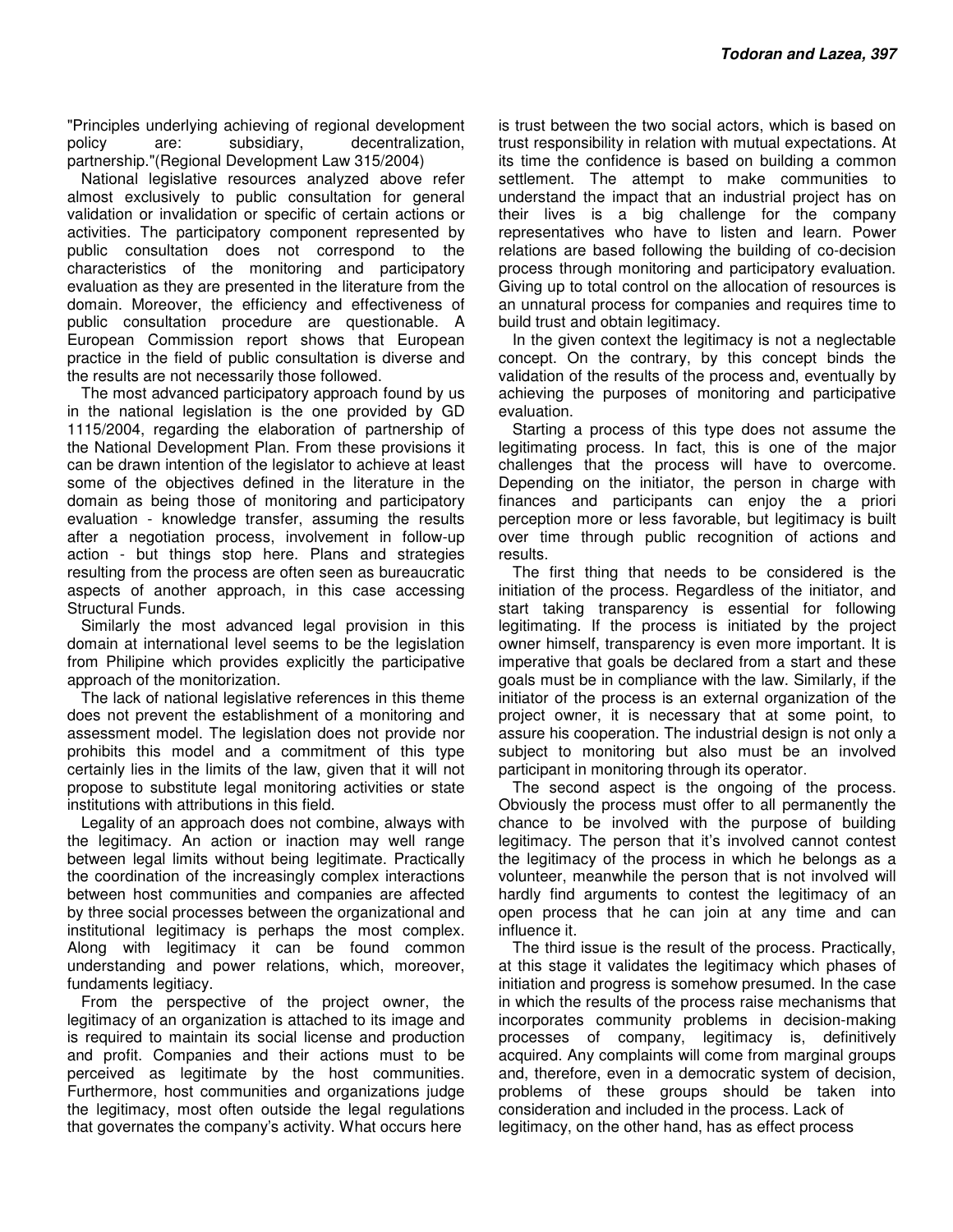"Principles underlying achieving of regional development policy are: subsidiary, decentralization, partnership."(Regional Development Law 315/2004)

National legislative resources analyzed above refer almost exclusively to public consultation for general validation or invalidation or specific of certain actions or activities. The participatory component represented by public consultation does not correspond to the characteristics of the monitoring and participatory evaluation as they are presented in the literature from the domain. Moreover, the efficiency and effectiveness of public consultation procedure are questionable. A European Commission report shows that European practice in the field of public consultation is diverse and the results are not necessarily those followed.

The most advanced participatory approach found by us in the national legislation is the one provided by GD 1115/2004, regarding the elaboration of partnership of the National Development Plan. From these provisions it can be drawn intention of the legislator to achieve at least some of the objectives defined in the literature in the domain as being those of monitoring and participatory evaluation - knowledge transfer, assuming the results after a negotiation process, involvement in follow-up action - but things stop here. Plans and strategies resulting from the process are often seen as bureaucratic aspects of another approach, in this case accessing Structural Funds.

Similarly the most advanced legal provision in this domain at international level seems to be the legislation from Philipine which provides explicitly the participative approach of the monitorization.

The lack of national legislative references in this theme does not prevent the establishment of a monitoring and assessment model. The legislation does not provide nor prohibits this model and a commitment of this type certainly lies in the limits of the law, given that it will not propose to substitute legal monitoring activities or state institutions with attributions in this field.

Legality of an approach does not combine, always with the legitimacy. An action or inaction may well range between legal limits without being legitimate. Practically the coordination of the increasingly complex interactions between host communities and companies are affected by three social processes between the organizational and institutional legitimacy is perhaps the most complex. Along with legitimacy it can be found common understanding and power relations, which, moreover, fundaments legitiacy.

From the perspective of the project owner, the legitimacy of an organization is attached to its image and is required to maintain its social license and production and profit. Companies and their actions must to be perceived as legitimate by the host communities. Furthermore, host communities and organizations judge the legitimacy, most often outside the legal regulations that governates the company's activity. What occurs here

is trust between the two social actors, which is based on trust responsibility in relation with mutual expectations. At its time the confidence is based on building a common settlement. The attempt to make communities to understand the impact that an industrial project has on their lives is a big challenge for the company representatives who have to listen and learn. Power relations are based following the building of co-decision process through monitoring and participatory evaluation. Giving up to total control on the allocation of resources is an unnatural process for companies and requires time to build trust and obtain legitimacy.

In the given context the legitimacy is not a neglectable concept. On the contrary, by this concept binds the validation of the results of the process and, eventually by achieving the purposes of monitoring and participative evaluation.

Starting a process of this type does not assume the legitimating process. In fact, this is one of the major challenges that the process will have to overcome. Depending on the initiator, the person in charge with finances and participants can enjoy the a priori perception more or less favorable, but legitimacy is built over time through public recognition of actions and results.

The first thing that needs to be considered is the initiation of the process. Regardless of the initiator, and start taking transparency is essential for following legitimating. If the process is initiated by the project owner himself, transparency is even more important. It is imperative that goals be declared from a start and these goals must be in compliance with the law. Similarly, if the initiator of the process is an external organization of the project owner, it is necessary that at some point, to assure his cooperation. The industrial design is not only a subject to monitoring but also must be an involved participant in monitoring through its operator.

The second aspect is the ongoing of the process. Obviously the process must offer to all permanently the chance to be involved with the purpose of building legitimacy. The person that it's involved cannot contest the legitimacy of the process in which he belongs as a volunteer, meanwhile the person that is not involved will hardly find arguments to contest the legitimacy of an open process that he can join at any time and can influence it.

The third issue is the result of the process. Practically, at this stage it validates the legitimacy which phases of initiation and progress is somehow presumed. In the case in which the results of the process raise mechanisms that incorporates community problems in decision-making processes of company, legitimacy is, definitively acquired. Any complaints will come from marginal groups and, therefore, even in a democratic system of decision, problems of these groups should be taken into consideration and included in the process. Lack of legitimacy, on the other hand, has as effect process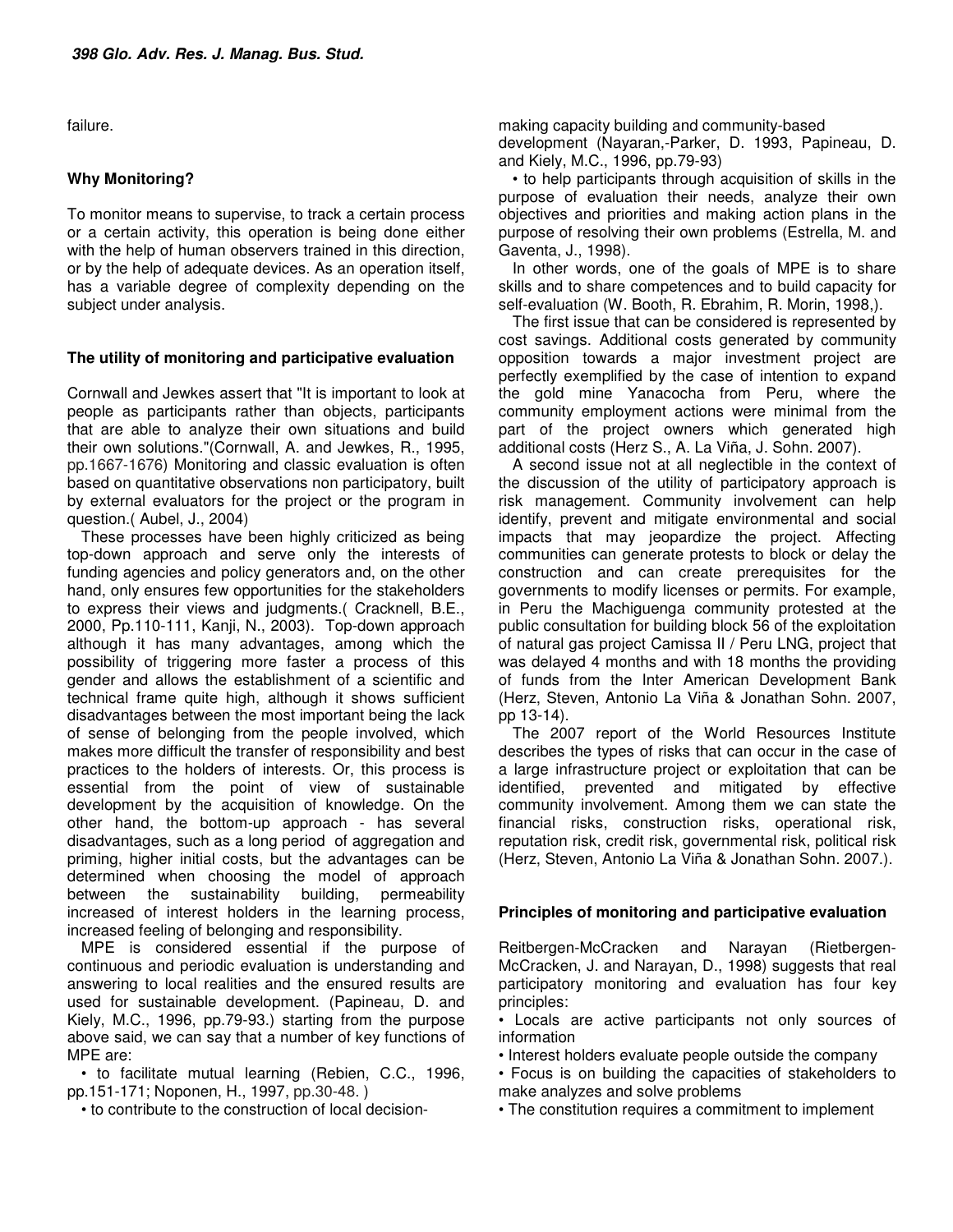failure.

#### **Why Monitoring?**

To monitor means to supervise, to track a certain process or a certain activity, this operation is being done either with the help of human observers trained in this direction, or by the help of adequate devices. As an operation itself, has a variable degree of complexity depending on the subject under analysis.

#### **The utility of monitoring and participative evaluation**

Cornwall and Jewkes assert that "It is important to look at people as participants rather than objects, participants that are able to analyze their own situations and build their own solutions."(Cornwall, A. and Jewkes, R., 1995, pp.1667-1676) Monitoring and classic evaluation is often based on quantitative observations non participatory, built by external evaluators for the project or the program in question.( Aubel, J., 2004)

These processes have been highly criticized as being top-down approach and serve only the interests of funding agencies and policy generators and, on the other hand, only ensures few opportunities for the stakeholders to express their views and judgments.( Cracknell, B.E., 2000, Pp.110-111, Kanji, N., 2003). Top-down approach although it has many advantages, among which the possibility of triggering more faster a process of this gender and allows the establishment of a scientific and technical frame quite high, although it shows sufficient disadvantages between the most important being the lack of sense of belonging from the people involved, which makes more difficult the transfer of responsibility and best practices to the holders of interests. Or, this process is essential from the point of view of sustainable development by the acquisition of knowledge. On the other hand, the bottom-up approach - has several disadvantages, such as a long period of aggregation and priming, higher initial costs, but the advantages can be determined when choosing the model of approach between the sustainability building, permeability increased of interest holders in the learning process, increased feeling of belonging and responsibility.

MPE is considered essential if the purpose of continuous and periodic evaluation is understanding and answering to local realities and the ensured results are used for sustainable development. (Papineau, D. and Kiely, M.C., 1996, pp.79-93.) starting from the purpose above said, we can say that a number of key functions of MPE are:

• to facilitate mutual learning (Rebien, C.C., 1996, pp.151-171; Noponen, H., 1997, pp.30-48. )

• to contribute to the construction of local decision-

making capacity building and community-based development (Nayaran,-Parker, D. 1993, Papineau, D. and Kiely, M.C., 1996, pp.79-93)

• to help participants through acquisition of skills in the purpose of evaluation their needs, analyze their own objectives and priorities and making action plans in the purpose of resolving their own problems (Estrella, M. and Gaventa, J., 1998).

In other words, one of the goals of MPE is to share skills and to share competences and to build capacity for self-evaluation (W. Booth, R. Ebrahim, R. Morin, 1998,).

The first issue that can be considered is represented by cost savings. Additional costs generated by community opposition towards a major investment project are perfectly exemplified by the case of intention to expand the gold mine Yanacocha from Peru, where the community employment actions were minimal from the part of the project owners which generated high additional costs (Herz S., A. La Viña, J. Sohn. 2007).

A second issue not at all neglectible in the context of the discussion of the utility of participatory approach is risk management. Community involvement can help identify, prevent and mitigate environmental and social impacts that may jeopardize the project. Affecting communities can generate protests to block or delay the construction and can create prerequisites for the governments to modify licenses or permits. For example, in Peru the Machiguenga community protested at the public consultation for building block 56 of the exploitation of natural gas project Camissa II / Peru LNG, project that was delayed 4 months and with 18 months the providing of funds from the Inter American Development Bank (Herz, Steven, Antonio La Viña & Jonathan Sohn. 2007, pp 13-14).

The 2007 report of the World Resources Institute describes the types of risks that can occur in the case of a large infrastructure project or exploitation that can be identified, prevented and mitigated by effective community involvement. Among them we can state the financial risks, construction risks, operational risk, reputation risk, credit risk, governmental risk, political risk (Herz, Steven, Antonio La Viña & Jonathan Sohn. 2007.).

### **Principles of monitoring and participative evaluation**

Reitbergen-McCracken and Narayan (Rietbergen-McCracken, J. and Narayan, D., 1998) suggests that real participatory monitoring and evaluation has four key principles:

- Locals are active participants not only sources of information
- Interest holders evaluate people outside the company
- Focus is on building the capacities of stakeholders to make analyzes and solve problems
- The constitution requires a commitment to implement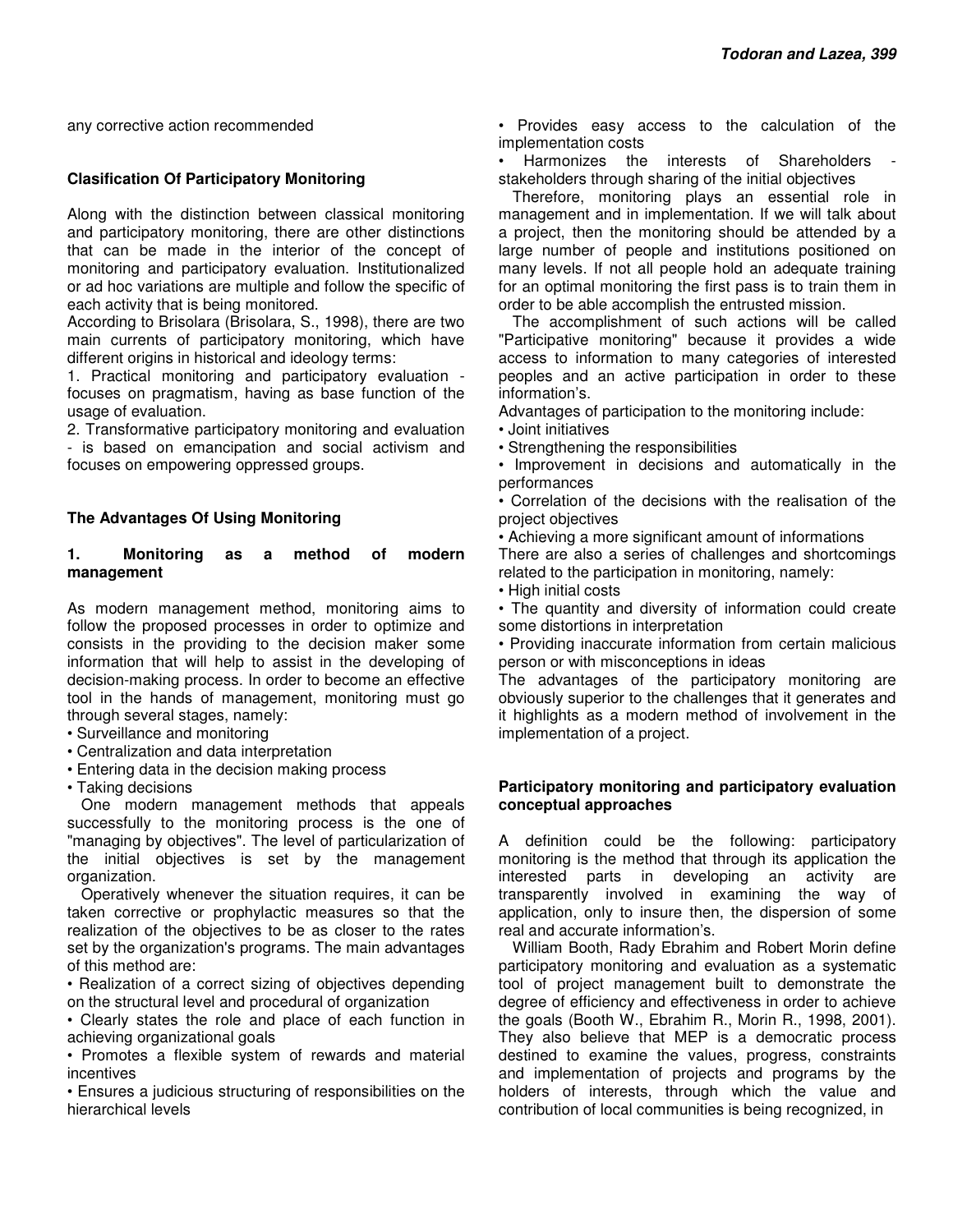any corrective action recommended

#### **Clasification Of Participatory Monitoring**

Along with the distinction between classical monitoring and participatory monitoring, there are other distinctions that can be made in the interior of the concept of monitoring and participatory evaluation. Institutionalized or ad hoc variations are multiple and follow the specific of each activity that is being monitored.

According to Brisolara (Brisolara, S., 1998), there are two main currents of participatory monitoring, which have different origins in historical and ideology terms:

1. Practical monitoring and participatory evaluation focuses on pragmatism, having as base function of the usage of evaluation.

2. Transformative participatory monitoring and evaluation - is based on emancipation and social activism and focuses on empowering oppressed groups.

#### **The Advantages Of Using Monitoring**

#### **1. Monitoring as a method of modern management**

As modern management method, monitoring aims to follow the proposed processes in order to optimize and consists in the providing to the decision maker some information that will help to assist in the developing of decision-making process. In order to become an effective tool in the hands of management, monitoring must go through several stages, namely:

- Surveillance and monitoring
- Centralization and data interpretation
- Entering data in the decision making process
- Taking decisions

One modern management methods that appeals successfully to the monitoring process is the one of "managing by objectives". The level of particularization of the initial objectives is set by the management organization.

Operatively whenever the situation requires, it can be taken corrective or prophylactic measures so that the realization of the objectives to be as closer to the rates set by the organization's programs. The main advantages of this method are:

• Realization of a correct sizing of objectives depending on the structural level and procedural of organization

• Clearly states the role and place of each function in achieving organizational goals

• Promotes a flexible system of rewards and material incentives

• Ensures a judicious structuring of responsibilities on the hierarchical levels

• Provides easy access to the calculation of the implementation costs

Harmonizes the interests of Shareholders stakeholders through sharing of the initial objectives

Therefore, monitoring plays an essential role in management and in implementation. If we will talk about a project, then the monitoring should be attended by a large number of people and institutions positioned on many levels. If not all people hold an adequate training for an optimal monitoring the first pass is to train them in order to be able accomplish the entrusted mission.

The accomplishment of such actions will be called "Participative monitoring" because it provides a wide access to information to many categories of interested peoples and an active participation in order to these information's.

Advantages of participation to the monitoring include:

- Joint initiatives
- Strengthening the responsibilities

• Improvement in decisions and automatically in the performances

• Correlation of the decisions with the realisation of the project objectives

• Achieving a more significant amount of informations

There are also a series of challenges and shortcomings related to the participation in monitoring, namely:

• High initial costs

• The quantity and diversity of information could create some distortions in interpretation

• Providing inaccurate information from certain malicious person or with misconceptions in ideas

The advantages of the participatory monitoring are obviously superior to the challenges that it generates and it highlights as a modern method of involvement in the implementation of a project.

#### **Participatory monitoring and participatory evaluation conceptual approaches**

A definition could be the following: participatory monitoring is the method that through its application the interested parts in developing an activity are transparently involved in examining the way of application, only to insure then, the dispersion of some real and accurate information's.

William Booth, Rady Ebrahim and Robert Morin define participatory monitoring and evaluation as a systematic tool of project management built to demonstrate the degree of efficiency and effectiveness in order to achieve the goals (Booth W., Ebrahim R., Morin R., 1998, 2001). They also believe that MEP is a democratic process destined to examine the values, progress, constraints and implementation of projects and programs by the holders of interests, through which the value and contribution of local communities is being recognized, in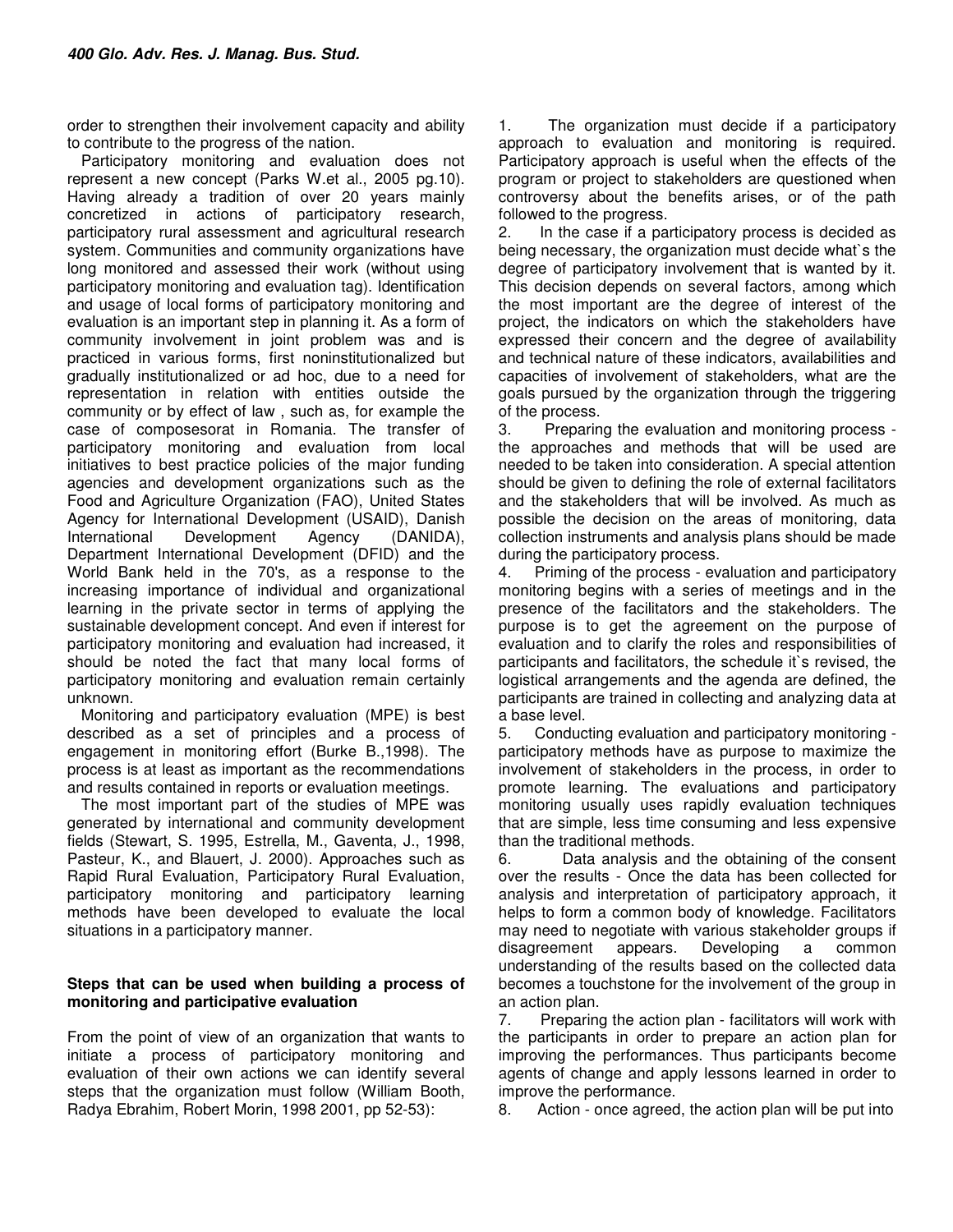order to strengthen their involvement capacity and ability to contribute to the progress of the nation.

Participatory monitoring and evaluation does not represent a new concept (Parks W.et al., 2005 pg.10). Having already a tradition of over 20 years mainly concretized in actions of participatory research, participatory rural assessment and agricultural research system. Communities and community organizations have long monitored and assessed their work (without using participatory monitoring and evaluation tag). Identification and usage of local forms of participatory monitoring and evaluation is an important step in planning it. As a form of community involvement in joint problem was and is practiced in various forms, first noninstitutionalized but gradually institutionalized or ad hoc, due to a need for representation in relation with entities outside the community or by effect of law , such as, for example the case of composesorat in Romania. The transfer of participatory monitoring and evaluation from local initiatives to best practice policies of the major funding agencies and development organizations such as the Food and Agriculture Organization (FAO), United States Agency for International Development (USAID), Danish International Development Agency (DANIDA), Department International Development (DFID) and the World Bank held in the 70's, as a response to the increasing importance of individual and organizational learning in the private sector in terms of applying the sustainable development concept. And even if interest for participatory monitoring and evaluation had increased, it should be noted the fact that many local forms of participatory monitoring and evaluation remain certainly unknown.

Monitoring and participatory evaluation (MPE) is best described as a set of principles and a process of engagement in monitoring effort (Burke B.,1998). The process is at least as important as the recommendations and results contained in reports or evaluation meetings.

The most important part of the studies of MPE was generated by international and community development fields (Stewart, S. 1995, Estrella, M., Gaventa, J., 1998, Pasteur, K., and Blauert, J. 2000). Approaches such as Rapid Rural Evaluation, Participatory Rural Evaluation, participatory monitoring and participatory learning methods have been developed to evaluate the local situations in a participatory manner.

#### **Steps that can be used when building a process of monitoring and participative evaluation**

From the point of view of an organization that wants to initiate a process of participatory monitoring and evaluation of their own actions we can identify several steps that the organization must follow (William Booth, Radya Ebrahim, Robert Morin, 1998 2001, pp 52-53):

1. The organization must decide if a participatory approach to evaluation and monitoring is required. Participatory approach is useful when the effects of the program or project to stakeholders are questioned when controversy about the benefits arises, or of the path followed to the progress.

2. In the case if a participatory process is decided as being necessary, the organization must decide what`s the degree of participatory involvement that is wanted by it. This decision depends on several factors, among which the most important are the degree of interest of the project, the indicators on which the stakeholders have expressed their concern and the degree of availability and technical nature of these indicators, availabilities and capacities of involvement of stakeholders, what are the goals pursued by the organization through the triggering of the process.

3. Preparing the evaluation and monitoring process the approaches and methods that will be used are needed to be taken into consideration. A special attention should be given to defining the role of external facilitators and the stakeholders that will be involved. As much as possible the decision on the areas of monitoring, data collection instruments and analysis plans should be made during the participatory process.

4. Priming of the process - evaluation and participatory monitoring begins with a series of meetings and in the presence of the facilitators and the stakeholders. The purpose is to get the agreement on the purpose of evaluation and to clarify the roles and responsibilities of participants and facilitators, the schedule it's revised, the logistical arrangements and the agenda are defined, the participants are trained in collecting and analyzing data at a base level.

5. Conducting evaluation and participatory monitoring participatory methods have as purpose to maximize the involvement of stakeholders in the process, in order to promote learning. The evaluations and participatory monitoring usually uses rapidly evaluation techniques that are simple, less time consuming and less expensive than the traditional methods.

6. Data analysis and the obtaining of the consent over the results - Once the data has been collected for analysis and interpretation of participatory approach, it helps to form a common body of knowledge. Facilitators may need to negotiate with various stakeholder groups if disagreement appears. Developing a common understanding of the results based on the collected data becomes a touchstone for the involvement of the group in an action plan.

7. Preparing the action plan - facilitators will work with the participants in order to prepare an action plan for improving the performances. Thus participants become agents of change and apply lessons learned in order to improve the performance.

8. Action - once agreed, the action plan will be put into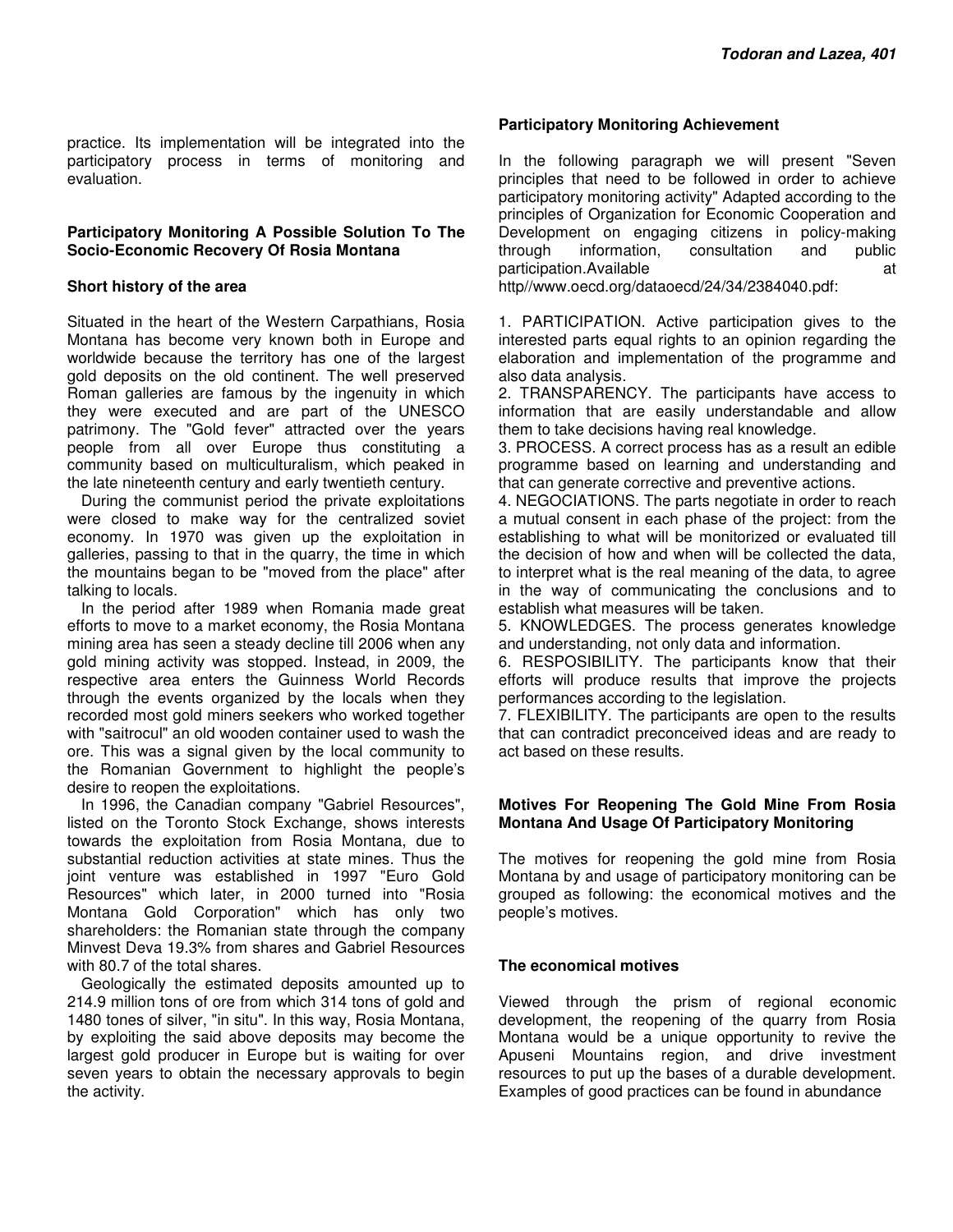practice. Its implementation will be integrated into the participatory process in terms of monitoring and evaluation.

#### **Participatory Monitoring A Possible Solution To The Socio-Economic Recovery Of Rosia Montana**

#### **Short history of the area**

Situated in the heart of the Western Carpathians, Rosia Montana has become very known both in Europe and worldwide because the territory has one of the largest gold deposits on the old continent. The well preserved Roman galleries are famous by the ingenuity in which they were executed and are part of the UNESCO patrimony. The "Gold fever" attracted over the years people from all over Europe thus constituting a community based on multiculturalism, which peaked in the late nineteenth century and early twentieth century.

During the communist period the private exploitations were closed to make way for the centralized soviet economy. In 1970 was given up the exploitation in galleries, passing to that in the quarry, the time in which the mountains began to be "moved from the place" after talking to locals.

In the period after 1989 when Romania made great efforts to move to a market economy, the Rosia Montana mining area has seen a steady decline till 2006 when any gold mining activity was stopped. Instead, in 2009, the respective area enters the Guinness World Records through the events organized by the locals when they recorded most gold miners seekers who worked together with "saitrocul" an old wooden container used to wash the ore. This was a signal given by the local community to the Romanian Government to highlight the people's desire to reopen the exploitations.

In 1996, the Canadian company "Gabriel Resources", listed on the Toronto Stock Exchange, shows interests towards the exploitation from Rosia Montana, due to substantial reduction activities at state mines. Thus the joint venture was established in 1997 "Euro Gold Resources" which later, in 2000 turned into "Rosia Montana Gold Corporation" which has only two shareholders: the Romanian state through the company Minvest Deva 19.3% from shares and Gabriel Resources with 80.7 of the total shares.

Geologically the estimated deposits amounted up to 214.9 million tons of ore from which 314 tons of gold and 1480 tones of silver, "in situ". In this way, Rosia Montana, by exploiting the said above deposits may become the largest gold producer in Europe but is waiting for over seven years to obtain the necessary approvals to begin the activity.

#### **Participatory Monitoring Achievement**

In the following paragraph we will present "Seven principles that need to be followed in order to achieve participatory monitoring activity" Adapted according to the principles of Organization for Economic Cooperation and Development on engaging citizens in policy-making through information, consultation and public participation.Available at the state of the state at a state of the state at a state of the state at a state of the state at a state of the state at a state of the state at a state of the state at a state of the state at a http//www.oecd.org/dataoecd/24/34/2384040.pdf:

1. PARTICIPATION. Active participation gives to the interested parts equal rights to an opinion regarding the elaboration and implementation of the programme and also data analysis.

2. TRANSPARENCY. The participants have access to information that are easily understandable and allow them to take decisions having real knowledge.

3. PROCESS. A correct process has as a result an edible programme based on learning and understanding and that can generate corrective and preventive actions.

4. NEGOCIATIONS. The parts negotiate in order to reach a mutual consent in each phase of the project: from the establishing to what will be monitorized or evaluated till the decision of how and when will be collected the data, to interpret what is the real meaning of the data, to agree in the way of communicating the conclusions and to establish what measures will be taken.

5. KNOWLEDGES. The process generates knowledge and understanding, not only data and information.

6. RESPOSIBILITY. The participants know that their efforts will produce results that improve the projects performances according to the legislation.

7. FLEXIBILITY. The participants are open to the results that can contradict preconceived ideas and are ready to act based on these results.

#### **Motives For Reopening The Gold Mine From Rosia Montana And Usage Of Participatory Monitoring**

The motives for reopening the gold mine from Rosia Montana by and usage of participatory monitoring can be grouped as following: the economical motives and the people's motives.

#### **The economical motives**

Viewed through the prism of regional economic development, the reopening of the quarry from Rosia Montana would be a unique opportunity to revive the Apuseni Mountains region, and drive investment resources to put up the bases of a durable development. Examples of good practices can be found in abundance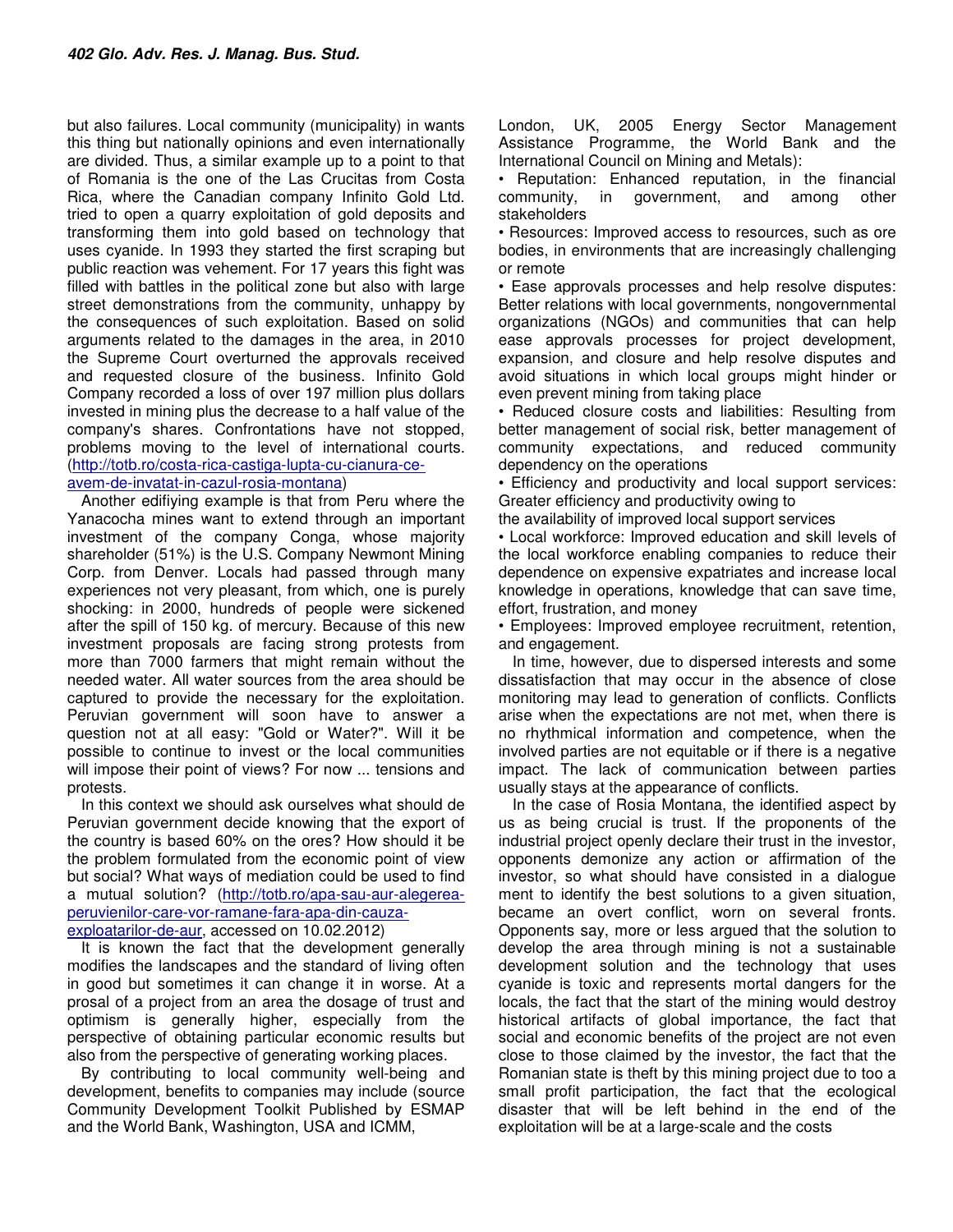but also failures. Local community (municipality) in wants this thing but nationally opinions and even internationally are divided. Thus, a similar example up to a point to that of Romania is the one of the Las Crucitas from Costa Rica, where the Canadian company Infinito Gold Ltd. tried to open a quarry exploitation of gold deposits and transforming them into gold based on technology that uses cyanide. In 1993 they started the first scraping but public reaction was vehement. For 17 years this fight was filled with battles in the political zone but also with large street demonstrations from the community, unhappy by the consequences of such exploitation. Based on solid arguments related to the damages in the area, in 2010 the Supreme Court overturned the approvals received and requested closure of the business. Infinito Gold Company recorded a loss of over 197 million plus dollars invested in mining plus the decrease to a half value of the company's shares. Confrontations have not stopped, problems moving to the level of international courts. (http://totb.ro/costa-rica-castiga-lupta-cu-cianura-ceavem-de-invatat-in-cazul-rosia-montana)

Another edifiying example is that from Peru where the Yanacocha mines want to extend through an important investment of the company Conga, whose majority shareholder (51%) is the U.S. Company Newmont Mining Corp. from Denver. Locals had passed through many experiences not very pleasant, from which, one is purely shocking: in 2000, hundreds of people were sickened after the spill of 150 kg. of mercury. Because of this new investment proposals are facing strong protests from more than 7000 farmers that might remain without the needed water. All water sources from the area should be captured to provide the necessary for the exploitation. Peruvian government will soon have to answer a question not at all easy: "Gold or Water?". Will it be possible to continue to invest or the local communities will impose their point of views? For now ... tensions and protests.

In this context we should ask ourselves what should de Peruvian government decide knowing that the export of the country is based 60% on the ores? How should it be the problem formulated from the economic point of view but social? What ways of mediation could be used to find a mutual solution? (http://totb.ro/apa-sau-aur-alegereaperuvienilor-care-vor-ramane-fara-apa-din-cauzaexploatarilor-de-aur, accessed on 10.02.2012)

It is known the fact that the development generally modifies the landscapes and the standard of living often in good but sometimes it can change it in worse. At a prosal of a project from an area the dosage of trust and optimism is generally higher, especially from the perspective of obtaining particular economic results but also from the perspective of generating working places.

By contributing to local community well-being and development, benefits to companies may include (source Community Development Toolkit Published by ESMAP and the World Bank, Washington, USA and ICMM,

London, UK, 2005 Energy Sector Management Assistance Programme, the World Bank and the International Council on Mining and Metals):

• Reputation: Enhanced reputation, in the financial community, in government, and among other stakeholders

• Resources: Improved access to resources, such as ore bodies, in environments that are increasingly challenging or remote

• Ease approvals processes and help resolve disputes: Better relations with local governments, nongovernmental organizations (NGOs) and communities that can help ease approvals processes for project development, expansion, and closure and help resolve disputes and avoid situations in which local groups might hinder or even prevent mining from taking place

• Reduced closure costs and liabilities: Resulting from better management of social risk, better management of community expectations, and reduced community dependency on the operations

• Efficiency and productivity and local support services: Greater efficiency and productivity owing to

the availability of improved local support services

• Local workforce: Improved education and skill levels of the local workforce enabling companies to reduce their dependence on expensive expatriates and increase local knowledge in operations, knowledge that can save time, effort, frustration, and money

• Employees: Improved employee recruitment, retention, and engagement.

In time, however, due to dispersed interests and some dissatisfaction that may occur in the absence of close monitoring may lead to generation of conflicts. Conflicts arise when the expectations are not met, when there is no rhythmical information and competence, when the involved parties are not equitable or if there is a negative impact. The lack of communication between parties usually stays at the appearance of conflicts.

In the case of Rosia Montana, the identified aspect by us as being crucial is trust. If the proponents of the industrial project openly declare their trust in the investor, opponents demonize any action or affirmation of the investor, so what should have consisted in a dialogue ment to identify the best solutions to a given situation, became an overt conflict, worn on several fronts. Opponents say, more or less argued that the solution to develop the area through mining is not a sustainable development solution and the technology that uses cyanide is toxic and represents mortal dangers for the locals, the fact that the start of the mining would destroy historical artifacts of global importance, the fact that social and economic benefits of the project are not even close to those claimed by the investor, the fact that the Romanian state is theft by this mining project due to too a small profit participation, the fact that the ecological disaster that will be left behind in the end of the exploitation will be at a large-scale and the costs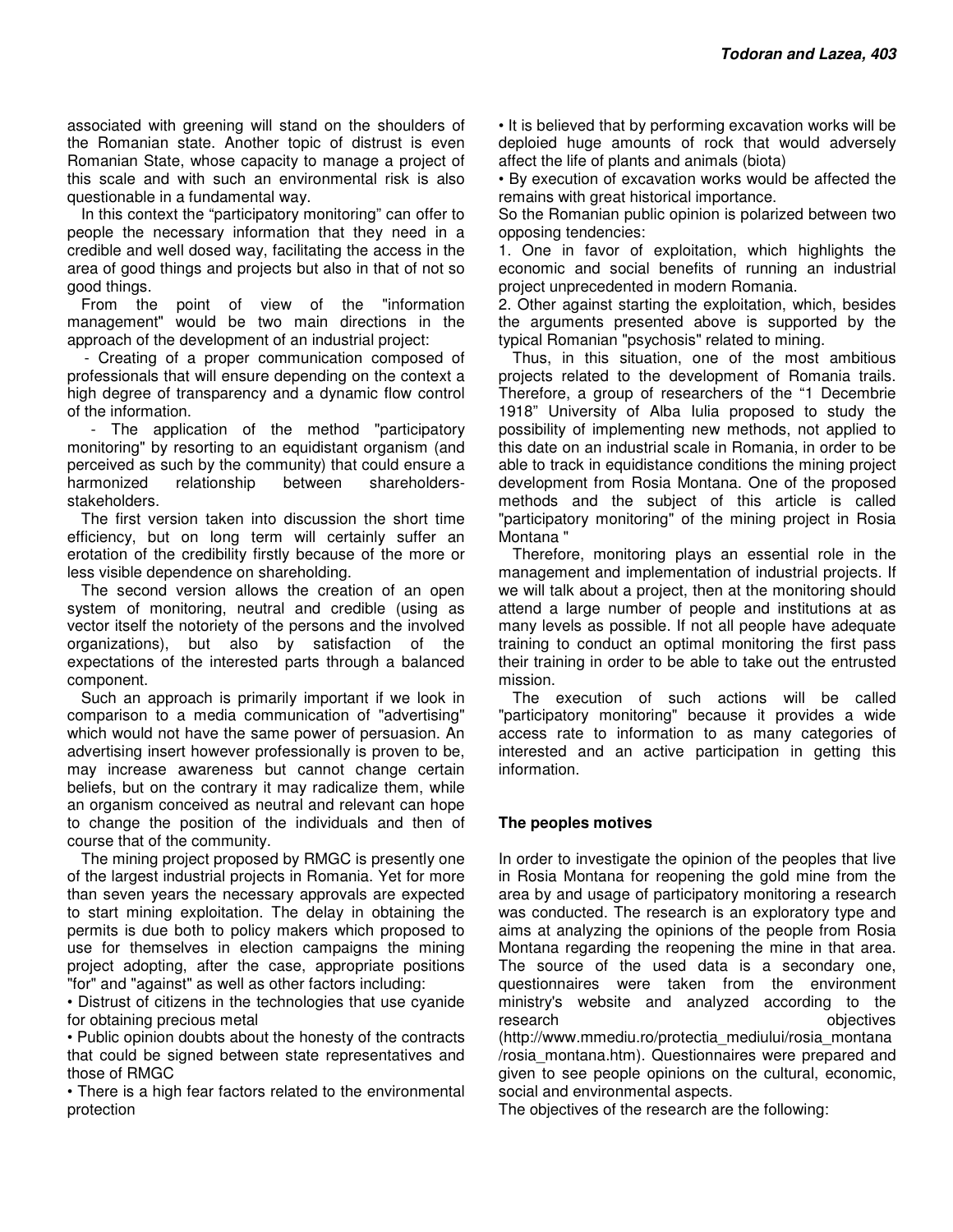associated with greening will stand on the shoulders of the Romanian state. Another topic of distrust is even Romanian State, whose capacity to manage a project of this scale and with such an environmental risk is also questionable in a fundamental way.

In this context the "participatory monitoring" can offer to people the necessary information that they need in a credible and well dosed way, facilitating the access in the area of good things and projects but also in that of not so good things.

From the point of view of the "information management" would be two main directions in the approach of the development of an industrial project:

 - Creating of a proper communication composed of professionals that will ensure depending on the context a high degree of transparency and a dynamic flow control of the information.

 - The application of the method "participatory monitoring" by resorting to an equidistant organism (and perceived as such by the community) that could ensure a harmonized relationship between shareholdersstakeholders.

The first version taken into discussion the short time efficiency, but on long term will certainly suffer an erotation of the credibility firstly because of the more or less visible dependence on shareholding.

The second version allows the creation of an open system of monitoring, neutral and credible (using as vector itself the notoriety of the persons and the involved organizations), but also by satisfaction of the expectations of the interested parts through a balanced component.

Such an approach is primarily important if we look in comparison to a media communication of "advertising" which would not have the same power of persuasion. An advertising insert however professionally is proven to be, may increase awareness but cannot change certain beliefs, but on the contrary it may radicalize them, while an organism conceived as neutral and relevant can hope to change the position of the individuals and then of course that of the community.

The mining project proposed by RMGC is presently one of the largest industrial projects in Romania. Yet for more than seven years the necessary approvals are expected to start mining exploitation. The delay in obtaining the permits is due both to policy makers which proposed to use for themselves in election campaigns the mining project adopting, after the case, appropriate positions "for" and "against" as well as other factors including:

• Distrust of citizens in the technologies that use cyanide for obtaining precious metal

• Public opinion doubts about the honesty of the contracts that could be signed between state representatives and those of RMGC

• There is a high fear factors related to the environmental protection

• It is believed that by performing excavation works will be deploied huge amounts of rock that would adversely affect the life of plants and animals (biota)

• By execution of excavation works would be affected the remains with great historical importance.

So the Romanian public opinion is polarized between two opposing tendencies:

1. One in favor of exploitation, which highlights the economic and social benefits of running an industrial project unprecedented in modern Romania.

2. Other against starting the exploitation, which, besides the arguments presented above is supported by the typical Romanian "psychosis" related to mining.

Thus, in this situation, one of the most ambitious projects related to the development of Romania trails. Therefore, a group of researchers of the "1 Decembrie 1918" University of Alba Iulia proposed to study the possibility of implementing new methods, not applied to this date on an industrial scale in Romania, in order to be able to track in equidistance conditions the mining project development from Rosia Montana. One of the proposed methods and the subject of this article is called "participatory monitoring" of the mining project in Rosia Montana "

Therefore, monitoring plays an essential role in the management and implementation of industrial projects. If we will talk about a project, then at the monitoring should attend a large number of people and institutions at as many levels as possible. If not all people have adequate training to conduct an optimal monitoring the first pass their training in order to be able to take out the entrusted mission.

The execution of such actions will be called "participatory monitoring" because it provides a wide access rate to information to as many categories of interested and an active participation in getting this information.

#### **The peoples motives**

In order to investigate the opinion of the peoples that live in Rosia Montana for reopening the gold mine from the area by and usage of participatory monitoring a research was conducted. The research is an exploratory type and aims at analyzing the opinions of the people from Rosia Montana regarding the reopening the mine in that area. The source of the used data is a secondary one, questionnaires were taken from the environment ministry's website and analyzed according to the research **objectives** (http://www.mmediu.ro/protectia\_mediului/rosia\_montana

/rosia\_montana.htm). Questionnaires were prepared and given to see people opinions on the cultural, economic, social and environmental aspects.

The objectives of the research are the following: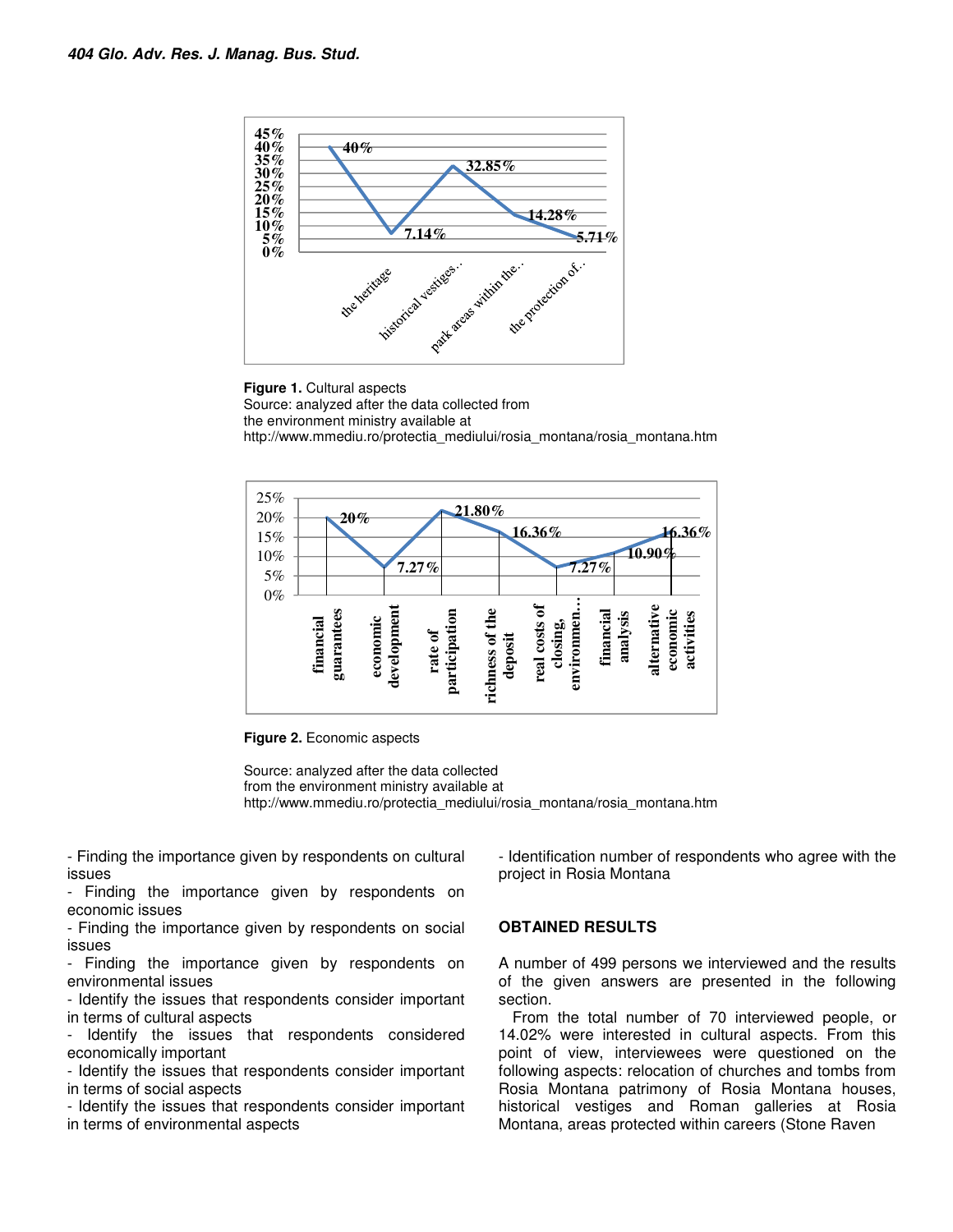

**Figure 1.** Cultural aspects Source: analyzed after the data collected from the environment ministry available at http://www.mmediu.ro/protectia\_mediului/rosia\_montana/rosia\_montana.htm



**Figure 2.** Economic aspects

Source: analyzed after the data collected from the environment ministry available at http://www.mmediu.ro/protectia\_mediului/rosia\_montana/rosia\_montana.htm

- Finding the importance given by respondents on cultural issues

Finding the importance given by respondents on economic issues

- Finding the importance given by respondents on social issues

- Finding the importance given by respondents on environmental issues

- Identify the issues that respondents consider important in terms of cultural aspects

- Identify the issues that respondents considered economically important

- Identify the issues that respondents consider important in terms of social aspects

- Identify the issues that respondents consider important in terms of environmental aspects

- Identification number of respondents who agree with the project in Rosia Montana

#### **OBTAINED RESULTS**

A number of 499 persons we interviewed and the results of the given answers are presented in the following section.

From the total number of 70 interviewed people, or 14.02% were interested in cultural aspects. From this point of view, interviewees were questioned on the following aspects: relocation of churches and tombs from Rosia Montana patrimony of Rosia Montana houses, historical vestiges and Roman galleries at Rosia Montana, areas protected within careers (Stone Raven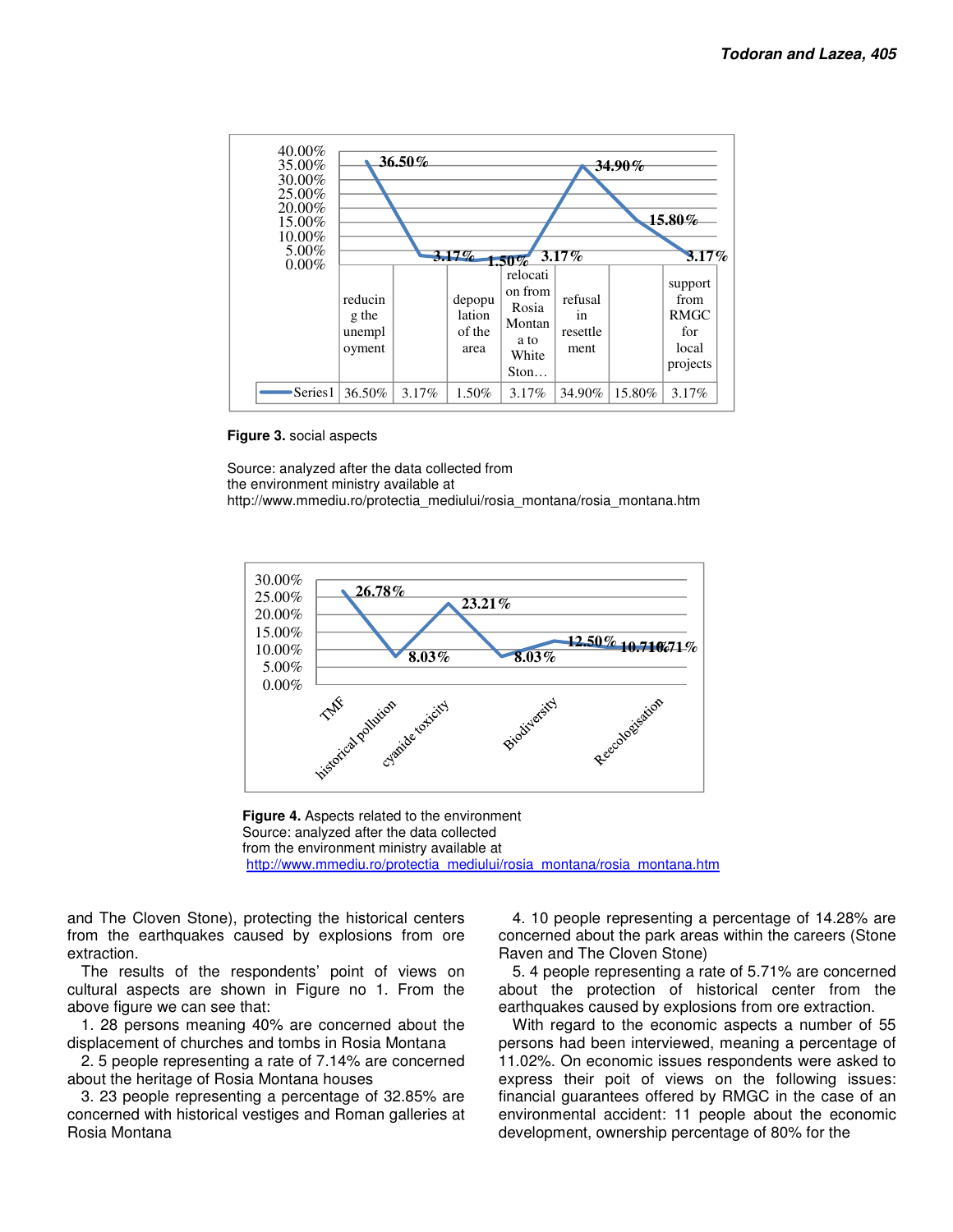

**Figure 3.** social aspects

Source: analyzed after the data collected from the environment ministry available at http://www.mmediu.ro/protectia\_mediului/rosia\_montana/rosia\_montana.htm



**Figure 4.** Aspects related to the environment Source: analyzed after the data collected from the environment ministry available at http://www.mmediu.ro/protectia\_mediului/rosia\_montana/rosia\_montana.htm

and The Cloven Stone), protecting the historical centers from the earthquakes caused by explosions from ore extraction.

The results of the respondents' point of views on cultural aspects are shown in Figure no 1. From the above figure we can see that:

1. 28 persons meaning 40% are concerned about the displacement of churches and tombs in Rosia Montana

2. 5 people representing a rate of 7.14% are concerned about the heritage of Rosia Montana houses

3. 23 people representing a percentage of 32.85% are concerned with historical vestiges and Roman galleries at Rosia Montana

4. 10 people representing a percentage of 14.28% are concerned about the park areas within the careers (Stone Raven and The Cloven Stone)

5. 4 people representing a rate of 5.71% are concerned about the protection of historical center from the earthquakes caused by explosions from ore extraction.

With regard to the economic aspects a number of 55 persons had been interviewed, meaning a percentage of 11.02%. On economic issues respondents were asked to express their poit of views on the following issues: financial guarantees offered by RMGC in the case of an environmental accident: 11 people about the economic development, ownership percentage of 80% for the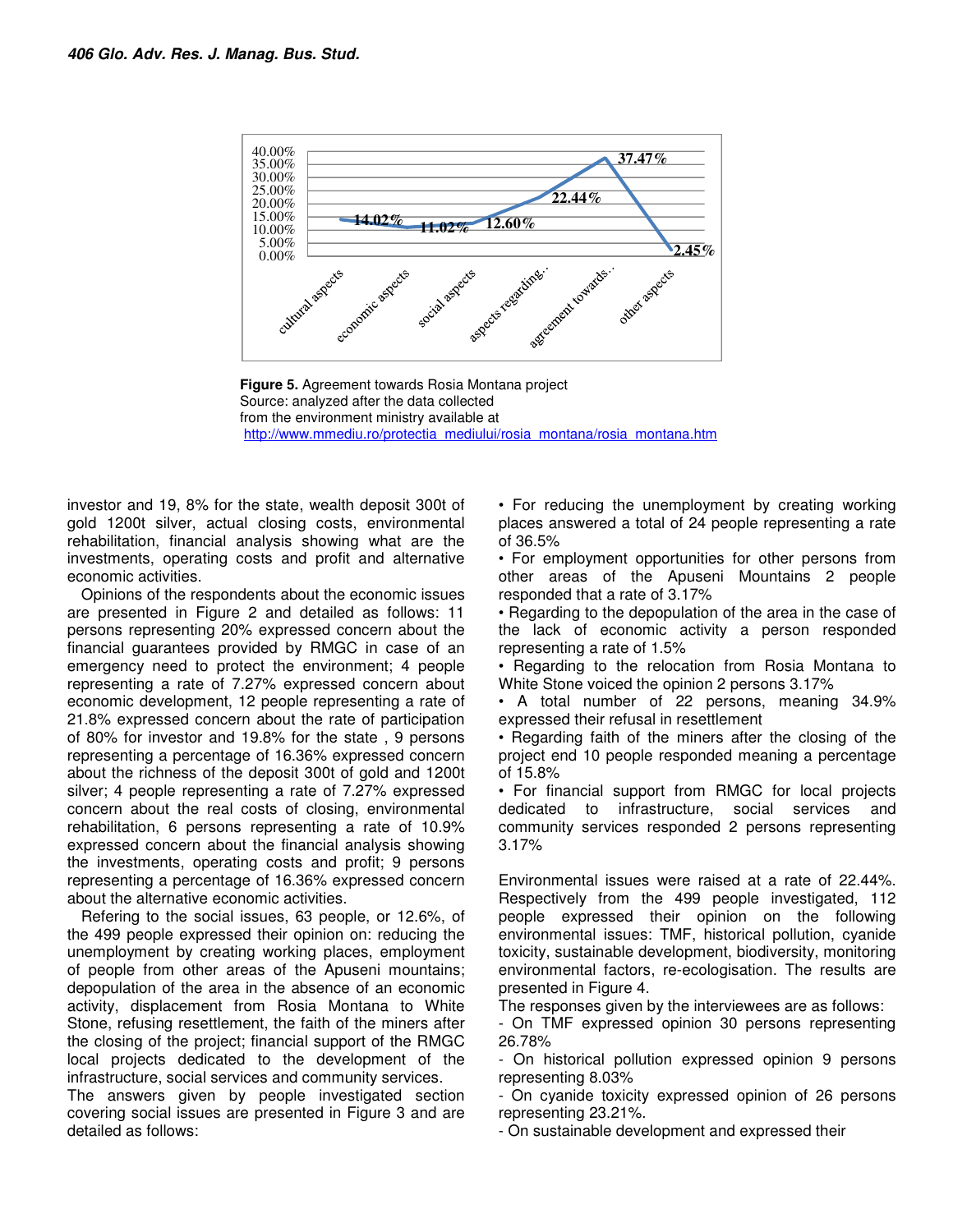

**Figure 5.** Agreement towards Rosia Montana project Source: analyzed after the data collected from the environment ministry available at http://www.mmediu.ro/protectia\_mediului/rosia\_montana/rosia\_montana.htm

investor and 19, 8% for the state, wealth deposit 300t of gold 1200t silver, actual closing costs, environmental rehabilitation, financial analysis showing what are the investments, operating costs and profit and alternative economic activities.

Opinions of the respondents about the economic issues are presented in Figure 2 and detailed as follows: 11 persons representing 20% expressed concern about the financial guarantees provided by RMGC in case of an emergency need to protect the environment; 4 people representing a rate of 7.27% expressed concern about economic development, 12 people representing a rate of 21.8% expressed concern about the rate of participation of 80% for investor and 19.8% for the state , 9 persons representing a percentage of 16.36% expressed concern about the richness of the deposit 300t of gold and 1200t silver; 4 people representing a rate of 7.27% expressed concern about the real costs of closing, environmental rehabilitation, 6 persons representing a rate of 10.9% expressed concern about the financial analysis showing the investments, operating costs and profit; 9 persons representing a percentage of 16.36% expressed concern about the alternative economic activities.

Refering to the social issues, 63 people, or 12.6%, of the 499 people expressed their opinion on: reducing the unemployment by creating working places, employment of people from other areas of the Apuseni mountains; depopulation of the area in the absence of an economic activity, displacement from Rosia Montana to White Stone, refusing resettlement, the faith of the miners after the closing of the project; financial support of the RMGC local projects dedicated to the development of the infrastructure, social services and community services.

The answers given by people investigated section covering social issues are presented in Figure 3 and are detailed as follows:

• For reducing the unemployment by creating working places answered a total of 24 people representing a rate of 36.5%

• For employment opportunities for other persons from other areas of the Apuseni Mountains 2 people responded that a rate of 3.17%

• Regarding to the depopulation of the area in the case of the lack of economic activity a person responded representing a rate of 1.5%

• Regarding to the relocation from Rosia Montana to White Stone voiced the opinion 2 persons 3.17%

• A total number of 22 persons, meaning 34.9% expressed their refusal in resettlement

• Regarding faith of the miners after the closing of the project end 10 people responded meaning a percentage of 15.8%

• For financial support from RMGC for local projects dedicated to infrastructure, social services and community services responded 2 persons representing 3.17%

Environmental issues were raised at a rate of 22.44%. Respectively from the 499 people investigated, 112 people expressed their opinion on the following environmental issues: TMF, historical pollution, cyanide toxicity, sustainable development, biodiversity, monitoring environmental factors, re-ecologisation. The results are presented in Figure 4.

The responses given by the interviewees are as follows:

- On TMF expressed opinion 30 persons representing 26.78%

- On historical pollution expressed opinion 9 persons representing 8.03%

- On cyanide toxicity expressed opinion of 26 persons representing 23.21%.

- On sustainable development and expressed their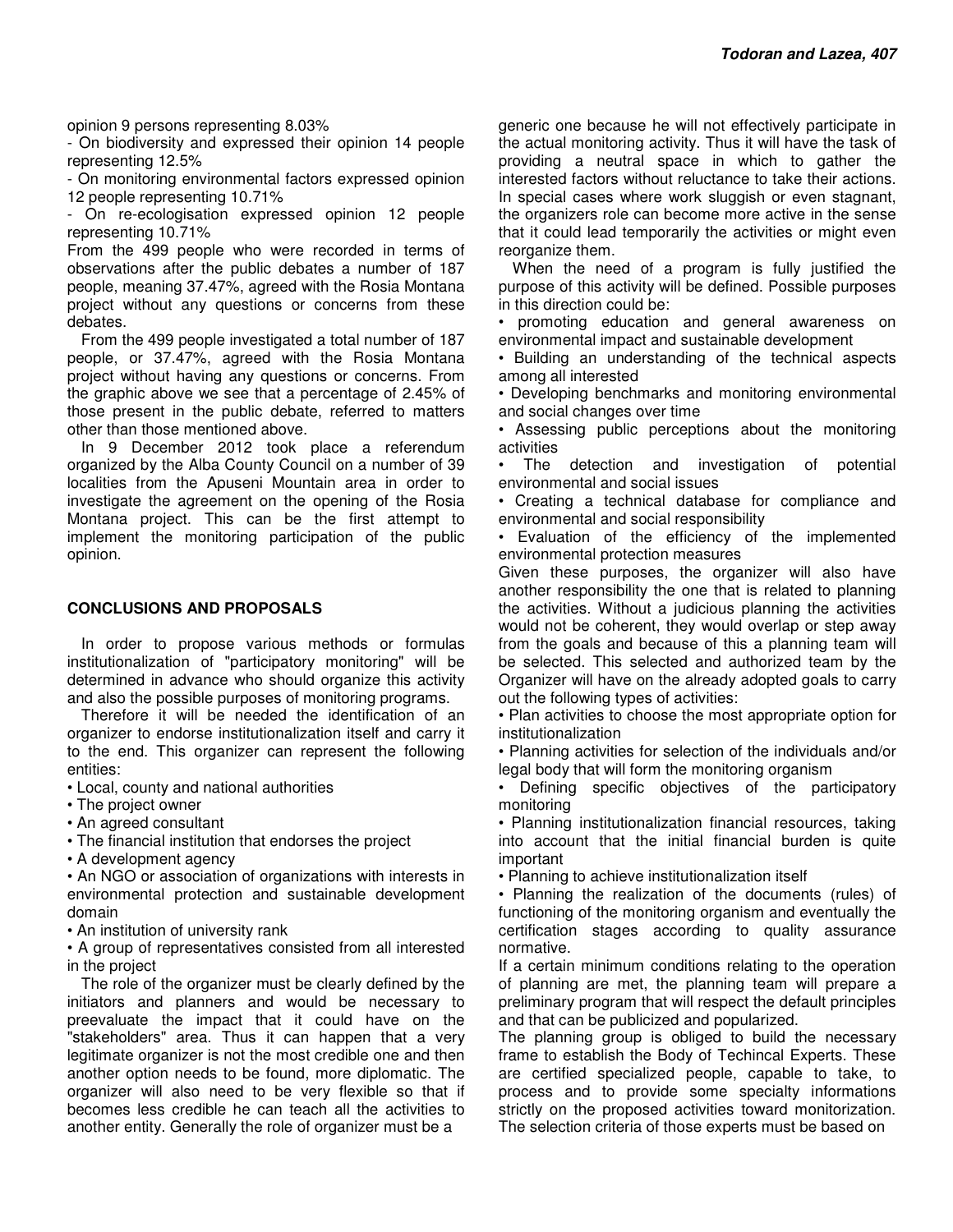opinion 9 persons representing 8.03%

- On biodiversity and expressed their opinion 14 people representing 12.5%

- On monitoring environmental factors expressed opinion 12 people representing 10.71%

- On re-ecologisation expressed opinion 12 people representing 10.71%

From the 499 people who were recorded in terms of observations after the public debates a number of 187 people, meaning 37.47%, agreed with the Rosia Montana project without any questions or concerns from these debates.

From the 499 people investigated a total number of 187 people, or 37.47%, agreed with the Rosia Montana project without having any questions or concerns. From the graphic above we see that a percentage of 2.45% of those present in the public debate, referred to matters other than those mentioned above.

In 9 December 2012 took place a referendum organized by the Alba County Council on a number of 39 localities from the Apuseni Mountain area in order to investigate the agreement on the opening of the Rosia Montana project. This can be the first attempt to implement the monitoring participation of the public opinion.

#### **CONCLUSIONS AND PROPOSALS**

In order to propose various methods or formulas institutionalization of "participatory monitoring" will be determined in advance who should organize this activity and also the possible purposes of monitoring programs.

Therefore it will be needed the identification of an organizer to endorse institutionalization itself and carry it to the end. This organizer can represent the following entities:

• Local, county and national authorities

• The project owner

• An agreed consultant

• The financial institution that endorses the project

• A development agency

• An NGO or association of organizations with interests in environmental protection and sustainable development domain

• An institution of university rank

• A group of representatives consisted from all interested in the project

The role of the organizer must be clearly defined by the initiators and planners and would be necessary to preevaluate the impact that it could have on the "stakeholders" area. Thus it can happen that a very legitimate organizer is not the most credible one and then another option needs to be found, more diplomatic. The organizer will also need to be very flexible so that if becomes less credible he can teach all the activities to another entity. Generally the role of organizer must be a

generic one because he will not effectively participate in the actual monitoring activity. Thus it will have the task of providing a neutral space in which to gather the interested factors without reluctance to take their actions. In special cases where work sluggish or even stagnant, the organizers role can become more active in the sense that it could lead temporarily the activities or might even reorganize them.

When the need of a program is fully justified the purpose of this activity will be defined. Possible purposes in this direction could be:

• promoting education and general awareness on environmental impact and sustainable development

• Building an understanding of the technical aspects among all interested

• Developing benchmarks and monitoring environmental and social changes over time

• Assessing public perceptions about the monitoring activities

The detection and investigation of potential environmental and social issues

• Creating a technical database for compliance and environmental and social responsibility

• Evaluation of the efficiency of the implemented environmental protection measures

Given these purposes, the organizer will also have another responsibility the one that is related to planning the activities. Without a judicious planning the activities would not be coherent, they would overlap or step away from the goals and because of this a planning team will be selected. This selected and authorized team by the Organizer will have on the already adopted goals to carry out the following types of activities:

• Plan activities to choose the most appropriate option for institutionalization

• Planning activities for selection of the individuals and/or legal body that will form the monitoring organism

• Defining specific objectives of the participatory monitoring

• Planning institutionalization financial resources, taking into account that the initial financial burden is quite important

• Planning to achieve institutionalization itself

• Planning the realization of the documents (rules) of functioning of the monitoring organism and eventually the certification stages according to quality assurance normative.

If a certain minimum conditions relating to the operation of planning are met, the planning team will prepare a preliminary program that will respect the default principles and that can be publicized and popularized.

The planning group is obliged to build the necessary frame to establish the Body of Techincal Experts. These are certified specialized people, capable to take, to process and to provide some specialty informations strictly on the proposed activities toward monitorization. The selection criteria of those experts must be based on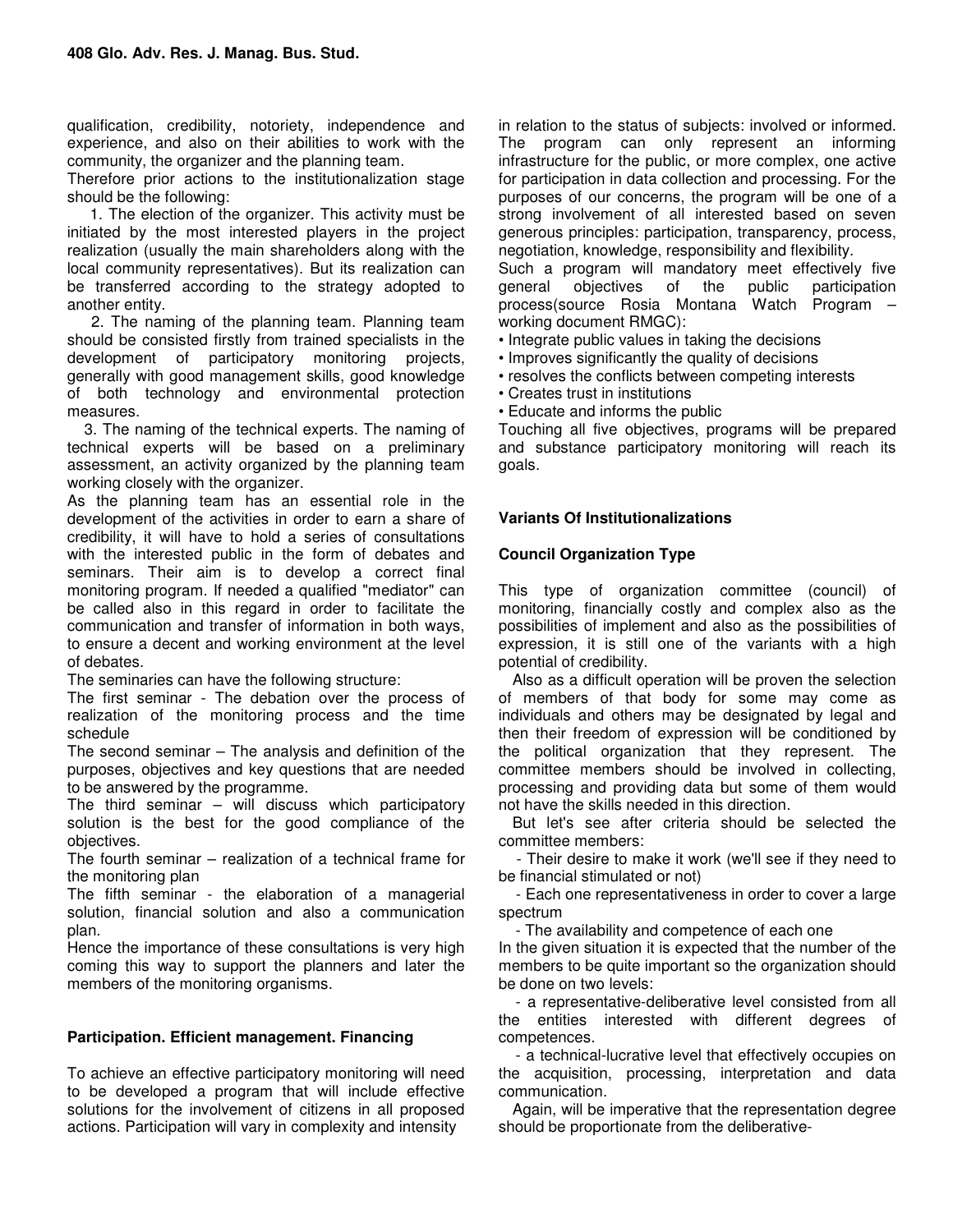qualification, credibility, notoriety, independence and experience, and also on their abilities to work with the community, the organizer and the planning team.

Therefore prior actions to the institutionalization stage should be the following:

 1. The election of the organizer. This activity must be initiated by the most interested players in the project realization (usually the main shareholders along with the local community representatives). But its realization can be transferred according to the strategy adopted to another entity.

 2. The naming of the planning team. Planning team should be consisted firstly from trained specialists in the development of participatory monitoring projects, generally with good management skills, good knowledge of both technology and environmental protection measures.

 3. The naming of the technical experts. The naming of technical experts will be based on a preliminary assessment, an activity organized by the planning team working closely with the organizer.

As the planning team has an essential role in the development of the activities in order to earn a share of credibility, it will have to hold a series of consultations with the interested public in the form of debates and seminars. Their aim is to develop a correct final monitoring program. If needed a qualified "mediator" can be called also in this regard in order to facilitate the communication and transfer of information in both ways, to ensure a decent and working environment at the level of debates.

The seminaries can have the following structure:

The first seminar - The debation over the process of realization of the monitoring process and the time schedule

The second seminar – The analysis and definition of the purposes, objectives and key questions that are needed to be answered by the programme.

The third seminar  $-$  will discuss which participatory solution is the best for the good compliance of the objectives.

The fourth seminar – realization of a technical frame for the monitoring plan

The fifth seminar - the elaboration of a managerial solution, financial solution and also a communication plan.

Hence the importance of these consultations is very high coming this way to support the planners and later the members of the monitoring organisms.

#### **Participation. Efficient management. Financing**

To achieve an effective participatory monitoring will need to be developed a program that will include effective solutions for the involvement of citizens in all proposed actions. Participation will vary in complexity and intensity

in relation to the status of subjects: involved or informed. The program can only represent an informing infrastructure for the public, or more complex, one active for participation in data collection and processing. For the purposes of our concerns, the program will be one of a strong involvement of all interested based on seven generous principles: participation, transparency, process, negotiation, knowledge, responsibility and flexibility.

Such a program will mandatory meet effectively five general objectives of the public participation process(source Rosia Montana Watch Program – working document RMGC):

- Integrate public values in taking the decisions
- Improves significantly the quality of decisions
- resolves the conflicts between competing interests
- Creates trust in institutions
- Educate and informs the public

Touching all five objectives, programs will be prepared and substance participatory monitoring will reach its goals.

#### **Variants Of Institutionalizations**

#### **Council Organization Type**

This type of organization committee (council) of monitoring, financially costly and complex also as the possibilities of implement and also as the possibilities of expression, it is still one of the variants with a high potential of credibility.

Also as a difficult operation will be proven the selection of members of that body for some may come as individuals and others may be designated by legal and then their freedom of expression will be conditioned by the political organization that they represent. The committee members should be involved in collecting, processing and providing data but some of them would not have the skills needed in this direction.

But let's see after criteria should be selected the committee members:

 - Their desire to make it work (we'll see if they need to be financial stimulated or not)

 - Each one representativeness in order to cover a large spectrum

- The availability and competence of each one

In the given situation it is expected that the number of the members to be quite important so the organization should be done on two levels:

 - a representative-deliberative level consisted from all the entities interested with different degrees of competences.

 - a technical-lucrative level that effectively occupies on the acquisition, processing, interpretation and data communication.

Again, will be imperative that the representation degree should be proportionate from the deliberative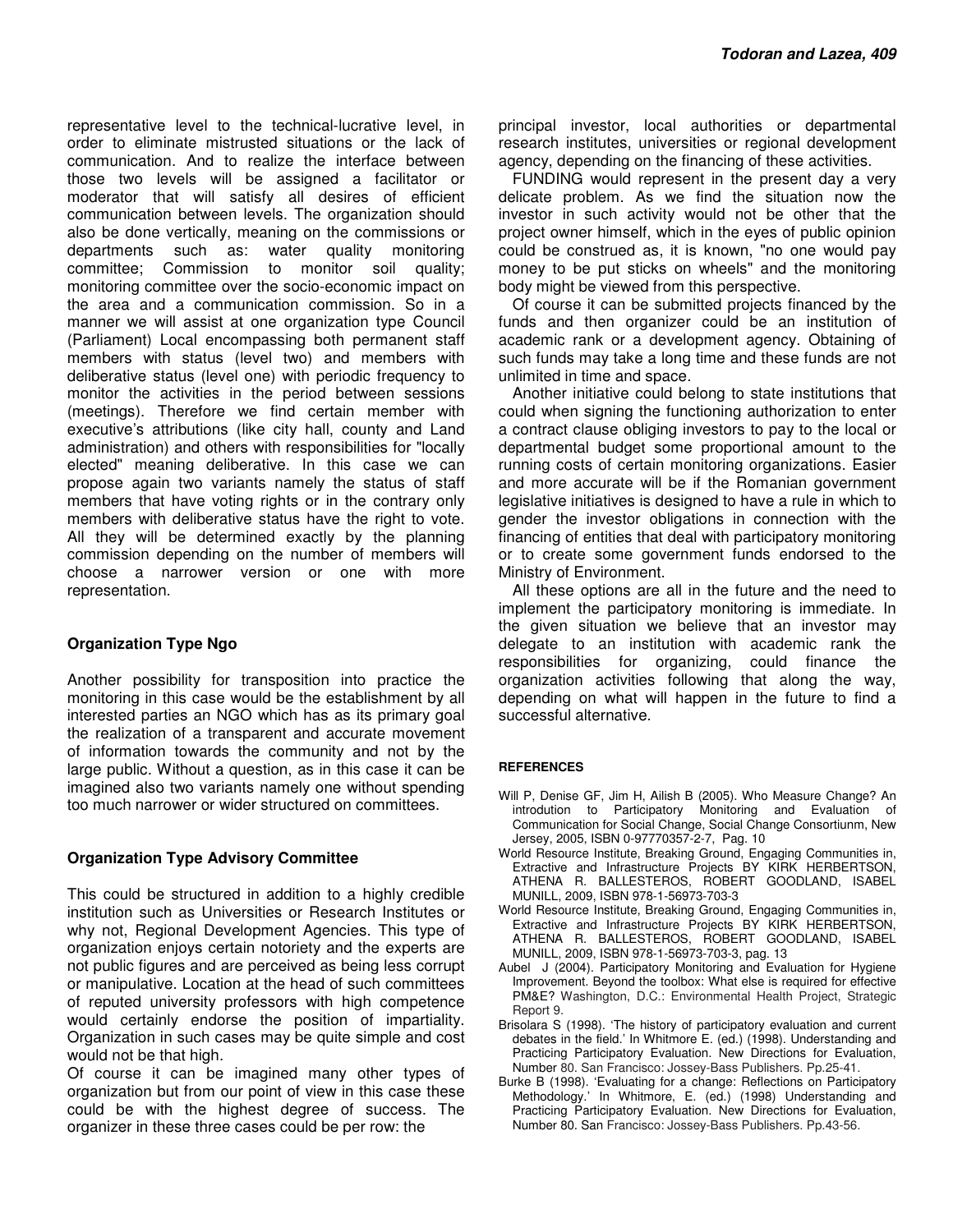representative level to the technical-lucrative level, in order to eliminate mistrusted situations or the lack of communication. And to realize the interface between those two levels will be assigned a facilitator or moderator that will satisfy all desires of efficient communication between levels. The organization should also be done vertically, meaning on the commissions or departments such as: water quality monitoring<br>committee; Commission to monitor soil quality; to monitor soil quality; monitoring committee over the socio-economic impact on the area and a communication commission. So in a manner we will assist at one organization type Council (Parliament) Local encompassing both permanent staff members with status (level two) and members with deliberative status (level one) with periodic frequency to monitor the activities in the period between sessions (meetings). Therefore we find certain member with executive's attributions (like city hall, county and Land administration) and others with responsibilities for "locally elected" meaning deliberative. In this case we can propose again two variants namely the status of staff members that have voting rights or in the contrary only members with deliberative status have the right to vote. All they will be determined exactly by the planning commission depending on the number of members will choose a narrower version or one with more representation.

#### **Organization Type Ngo**

Another possibility for transposition into practice the monitoring in this case would be the establishment by all interested parties an NGO which has as its primary goal the realization of a transparent and accurate movement of information towards the community and not by the large public. Without a question, as in this case it can be imagined also two variants namely one without spending too much narrower or wider structured on committees.

#### **Organization Type Advisory Committee**

This could be structured in addition to a highly credible institution such as Universities or Research Institutes or why not, Regional Development Agencies. This type of organization enjoys certain notoriety and the experts are not public figures and are perceived as being less corrupt or manipulative. Location at the head of such committees of reputed university professors with high competence would certainly endorse the position of impartiality. Organization in such cases may be quite simple and cost would not be that high.

Of course it can be imagined many other types of organization but from our point of view in this case these could be with the highest degree of success. The organizer in these three cases could be per row: the

principal investor, local authorities or departmental research institutes, universities or regional development agency, depending on the financing of these activities.

FUNDING would represent in the present day a very delicate problem. As we find the situation now the investor in such activity would not be other that the project owner himself, which in the eyes of public opinion could be construed as, it is known, "no one would pay money to be put sticks on wheels" and the monitoring body might be viewed from this perspective.

Of course it can be submitted projects financed by the funds and then organizer could be an institution of academic rank or a development agency. Obtaining of such funds may take a long time and these funds are not unlimited in time and space.

Another initiative could belong to state institutions that could when signing the functioning authorization to enter a contract clause obliging investors to pay to the local or departmental budget some proportional amount to the running costs of certain monitoring organizations. Easier and more accurate will be if the Romanian government legislative initiatives is designed to have a rule in which to gender the investor obligations in connection with the financing of entities that deal with participatory monitoring or to create some government funds endorsed to the Ministry of Environment.

All these options are all in the future and the need to implement the participatory monitoring is immediate. In the given situation we believe that an investor may delegate to an institution with academic rank the responsibilities for organizing, could finance the organization activities following that along the way, depending on what will happen in the future to find a successful alternative.

#### **REFERENCES**

- Will P, Denise GF, Jim H, Ailish B (2005). Who Measure Change? An introdution to Participatory Monitoring and Evaluation of Communication for Social Change, Social Change Consortiunm, New Jersey, 2005, ISBN 0-97770357-2-7, Pag. 10
- World Resource Institute, Breaking Ground, Engaging Communities in, Extractive and Infrastructure Projects BY KIRK HERBERTSON, ATHENA R. BALLESTEROS, ROBERT GOODLAND, ISABEL MUNILL, 2009, ISBN 978-1-56973-703-3
- World Resource Institute, Breaking Ground, Engaging Communities in, Extractive and Infrastructure Projects BY KIRK HERBERTSON, ATHENA R. BALLESTEROS, ROBERT GOODLAND, ISABEL MUNILL, 2009, ISBN 978-1-56973-703-3, pag. 13
- Aubel J (2004). Participatory Monitoring and Evaluation for Hygiene Improvement. Beyond the toolbox: What else is required for effective PM&E? Washington, D.C.: Environmental Health Project, Strategic Report 9.
- Brisolara S (1998). 'The history of participatory evaluation and current debates in the field.' In Whitmore E. (ed.) (1998). Understanding and Practicing Participatory Evaluation. New Directions for Evaluation, Number 80. San Francisco: Jossey-Bass Publishers. Pp.25-41.
- Burke B (1998). 'Evaluating for a change: Reflections on Participatory Methodology.' In Whitmore, E. (ed.) (1998) Understanding and Practicing Participatory Evaluation. New Directions for Evaluation, Number 80. San Francisco: Jossey-Bass Publishers. Pp.43-56.